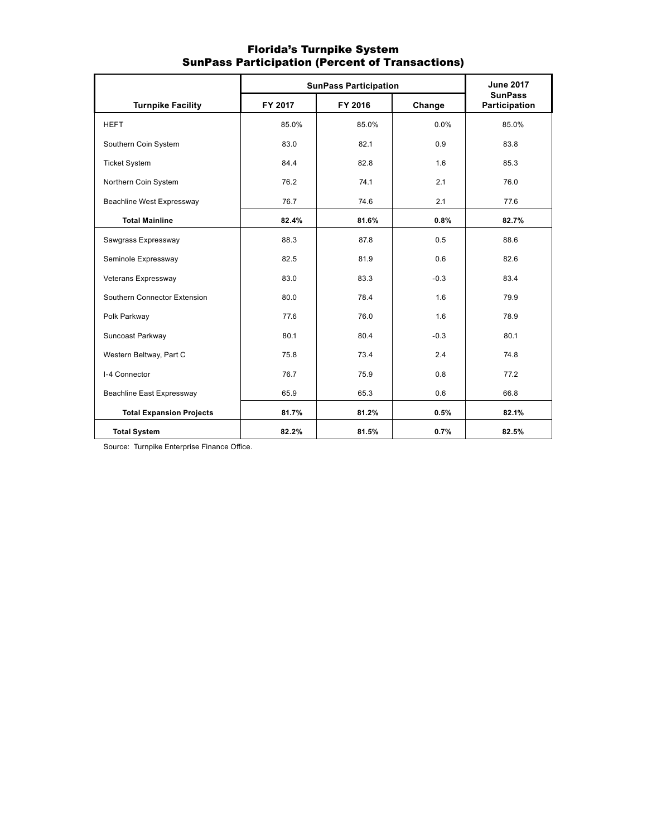|                                  | <b>SunPass Participation</b> | <b>June 2017</b> |        |                                 |
|----------------------------------|------------------------------|------------------|--------|---------------------------------|
| <b>Turnpike Facility</b>         | FY 2017                      | FY 2016          | Change | <b>SunPass</b><br>Participation |
| <b>HEFT</b>                      | 85.0%                        | 85.0%            | 0.0%   | 85.0%                           |
| Southern Coin System             | 83.0                         | 82.1             | 0.9    | 83.8                            |
| <b>Ticket System</b>             | 84.4                         | 82.8             | 1.6    | 85.3                            |
| Northern Coin System             | 76.2                         | 74.1             | 2.1    | 76.0                            |
| Beachline West Expressway        | 76.7                         | 74.6             | 2.1    | 77.6                            |
| <b>Total Mainline</b>            | 82.4%                        | 81.6%            | 0.8%   | 82.7%                           |
| Sawgrass Expressway              | 88.3                         | 87.8             | 0.5    | 88.6                            |
| Seminole Expressway              | 82.5                         | 81.9             | 0.6    | 82.6                            |
| Veterans Expressway              | 83.0                         | 83.3             | $-0.3$ | 83.4                            |
| Southern Connector Extension     | 80.0                         | 78.4             | 1.6    | 79.9                            |
| Polk Parkway                     | 77.6                         | 76.0             | 1.6    | 78.9                            |
| Suncoast Parkway                 | 80.1                         | 80.4             | $-0.3$ | 80.1                            |
| Western Beltway, Part C          | 75.8                         | 73.4             | 2.4    | 74.8                            |
| I-4 Connector                    | 76.7                         | 75.9             | 0.8    | 77.2                            |
| <b>Beachline East Expressway</b> | 65.9                         | 65.3             | 0.6    | 66.8                            |
| <b>Total Expansion Projects</b>  | 81.7%                        | 81.2%            | 0.5%   | 82.1%                           |
| <b>Total System</b>              | 82.2%                        | 81.5%            | 0.7%   | 82.5%                           |

### Florida's Turnpike System SunPass Participation (Percent of Transactions)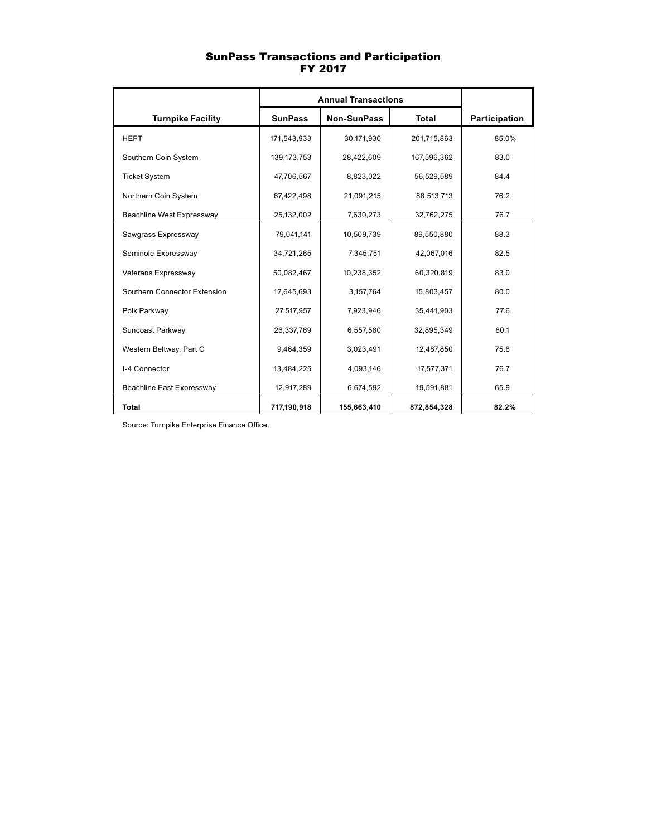#### SunPass Transactions and Participation FY 2017

|                              | <b>Annual Transactions</b> |                    |              |               |
|------------------------------|----------------------------|--------------------|--------------|---------------|
| <b>Turnpike Facility</b>     | <b>SunPass</b>             | <b>Non-SunPass</b> | <b>Total</b> | Participation |
| <b>HEFT</b>                  | 171,543,933                | 30,171,930         | 201,715,863  | 85.0%         |
| Southern Coin System         | 139, 173, 753              | 28,422,609         | 167,596,362  | 83.0          |
| <b>Ticket System</b>         | 47,706,567                 | 8,823,022          | 56,529,589   | 84.4          |
| Northern Coin System         | 67,422,498                 | 21,091,215         | 88,513,713   | 76.2          |
| Beachline West Expressway    | 25,132,002                 | 7,630,273          | 32,762,275   | 76.7          |
| Sawgrass Expressway          | 79,041,141                 | 10,509,739         | 89,550,880   | 88.3          |
| Seminole Expressway          | 34,721,265                 | 7,345,751          | 42,067,016   | 82.5          |
| Veterans Expressway          | 50,082,467                 | 10,238,352         | 60,320,819   | 83.0          |
| Southern Connector Extension | 12,645,693                 | 3,157,764          | 15,803,457   | 80.0          |
| Polk Parkway                 | 27,517,957                 | 7,923,946          | 35,441,903   | 77.6          |
| Suncoast Parkway             | 26,337,769                 | 6,557,580          | 32,895,349   | 80.1          |
| Western Beltway, Part C      | 9,464,359                  | 3,023,491          | 12,487,850   | 75.8          |
| I-4 Connector                | 13,484,225                 | 4,093,146          | 17,577,371   | 76.7          |
| Beachline East Expressway    | 12,917,289                 | 6,674,592          | 19,591,881   | 65.9          |
| <b>Total</b>                 | 717,190,918                | 155,663,410        | 872,854,328  | 82.2%         |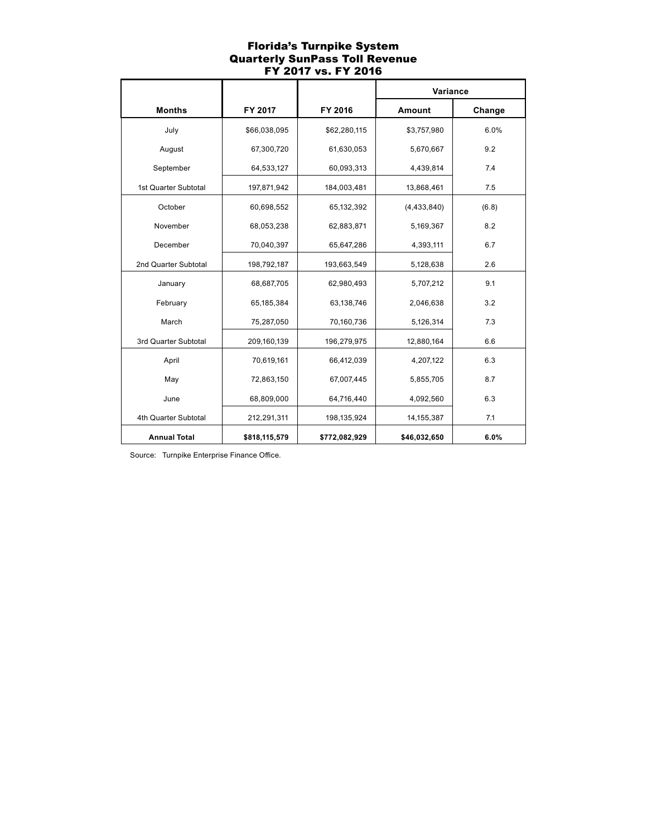## Florida's Turnpike System Quarterly SunPass Toll Revenue FY 2017 vs. FY 2016

|                      |               |               | Variance      |        |
|----------------------|---------------|---------------|---------------|--------|
| <b>Months</b>        | FY 2017       | FY 2016       | Amount        | Change |
| July                 | \$66,038,095  | \$62,280,115  | \$3,757,980   | 6.0%   |
| August               | 67,300,720    | 61,630,053    | 5,670,667     | 9.2    |
| September            | 64,533,127    | 60,093,313    | 4,439,814     | 7.4    |
| 1st Quarter Subtotal | 197,871,942   | 184,003,481   | 13,868,461    | 7.5    |
| October              | 60,698,552    | 65,132,392    | (4, 433, 840) | (6.8)  |
| November             | 68,053,238    | 62,883,871    | 5,169,367     | 8.2    |
| December             | 70,040,397    | 65,647,286    | 4,393,111     | 6.7    |
| 2nd Quarter Subtotal | 198,792,187   | 193,663,549   | 5,128,638     | 2.6    |
| January              | 68,687,705    | 62,980,493    | 5,707,212     | 9.1    |
| February             | 65,185,384    | 63,138,746    | 2,046,638     | 3.2    |
| March                | 75,287,050    | 70,160,736    | 5,126,314     | 7.3    |
| 3rd Quarter Subtotal | 209,160,139   | 196,279,975   | 12,880,164    | 6.6    |
| April                | 70,619,161    | 66,412,039    | 4,207,122     | 6.3    |
| May                  | 72,863,150    | 67,007,445    | 5,855,705     | 8.7    |
| June                 | 68,809,000    | 64,716,440    | 4,092,560     | 6.3    |
| 4th Quarter Subtotal | 212,291,311   | 198,135,924   | 14,155,387    | 7.1    |
| <b>Annual Total</b>  | \$818,115,579 | \$772,082,929 | \$46,032,650  | 6.0%   |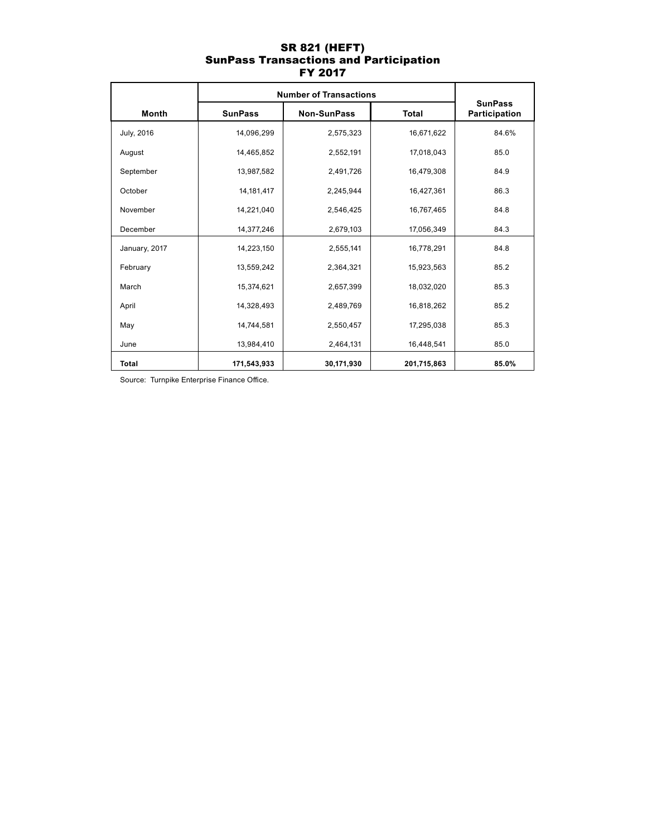## SR 821 (HEFT) SunPass Transactions and Participation FY 2017

|               | <b>Number of Transactions</b> |                    |              |                                 |
|---------------|-------------------------------|--------------------|--------------|---------------------------------|
| <b>Month</b>  | <b>SunPass</b>                | <b>Non-SunPass</b> | <b>Total</b> | <b>SunPass</b><br>Participation |
| July, 2016    | 14,096,299                    | 2,575,323          | 16,671,622   | 84.6%                           |
| August        | 14,465,852                    | 2,552,191          | 17,018,043   | 85.0                            |
| September     | 13,987,582                    | 2,491,726          | 16,479,308   | 84.9                            |
| October       | 14, 181, 417                  | 2,245,944          | 16,427,361   | 86.3                            |
| November      | 14,221,040                    | 2,546,425          | 16,767,465   | 84.8                            |
| December      | 14,377,246                    | 2,679,103          | 17,056,349   | 84.3                            |
| January, 2017 | 14,223,150                    | 2,555,141          | 16,778,291   | 84.8                            |
| February      | 13,559,242                    | 2,364,321          | 15,923,563   | 85.2                            |
| March         | 15,374,621                    | 2,657,399          | 18,032,020   | 85.3                            |
| April         | 14,328,493                    | 2,489,769          | 16,818,262   | 85.2                            |
| May           | 14,744,581                    | 2,550,457          | 17,295,038   | 85.3                            |
| June          | 13,984,410                    | 2,464,131          | 16,448,541   | 85.0                            |
| <b>Total</b>  | 171,543,933                   | 30,171,930         | 201,715,863  | 85.0%                           |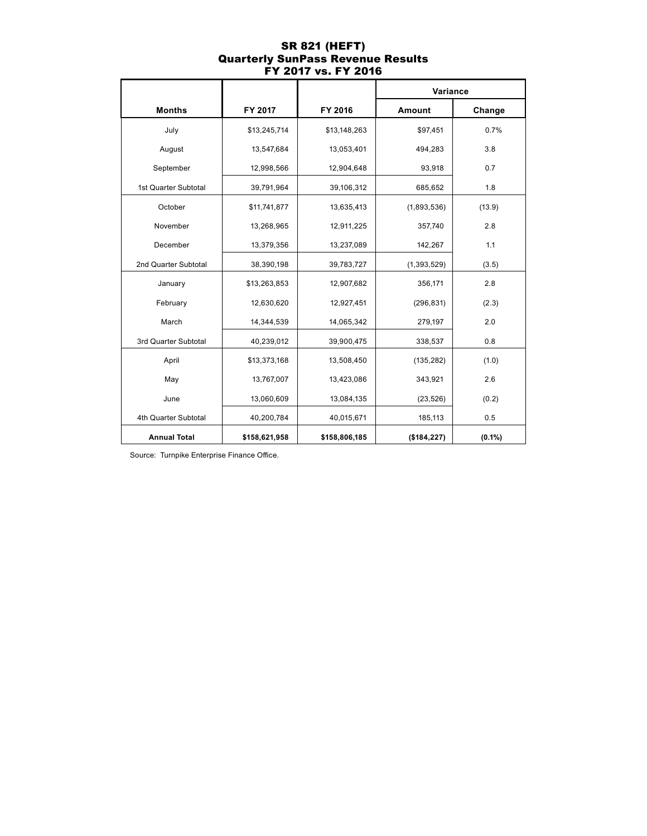### SR 821 (HEFT) Quarterly SunPass Revenue Results FY 2017 vs. FY 2016

|                      |               |               | Variance      |           |
|----------------------|---------------|---------------|---------------|-----------|
| <b>Months</b>        | FY 2017       | FY 2016       | Amount        | Change    |
| July                 | \$13,245,714  | \$13,148,263  | \$97,451      | 0.7%      |
| August               | 13,547,684    | 13,053,401    | 494,283       | 3.8       |
| September            | 12,998,566    | 12,904,648    | 93,918        | 0.7       |
| 1st Quarter Subtotal | 39,791,964    | 39,106,312    | 685,652       | 1.8       |
| October              | \$11,741,877  | 13,635,413    | (1,893,536)   | (13.9)    |
| November             | 13,268,965    | 12,911,225    | 357,740       | 2.8       |
| December             | 13,379,356    | 13,237,089    | 142,267       | 1.1       |
| 2nd Quarter Subtotal | 38,390,198    | 39,783,727    | (1, 393, 529) | (3.5)     |
| January              | \$13,263,853  | 12,907,682    | 356,171       | 2.8       |
| February             | 12,630,620    | 12,927,451    | (296, 831)    | (2.3)     |
| March                | 14,344,539    | 14,065,342    | 279,197       | 2.0       |
| 3rd Quarter Subtotal | 40,239,012    | 39,900,475    | 338,537       | 0.8       |
| April                | \$13,373,168  | 13,508,450    | (135, 282)    | (1.0)     |
| May                  | 13,767,007    | 13,423,086    | 343,921       | 2.6       |
| June                 | 13,060,609    | 13,084,135    | (23, 526)     | (0.2)     |
| 4th Quarter Subtotal | 40,200,784    | 40,015,671    | 185,113       | 0.5       |
| <b>Annual Total</b>  | \$158,621,958 | \$158,806,185 | ( \$184, 227) | $(0.1\%)$ |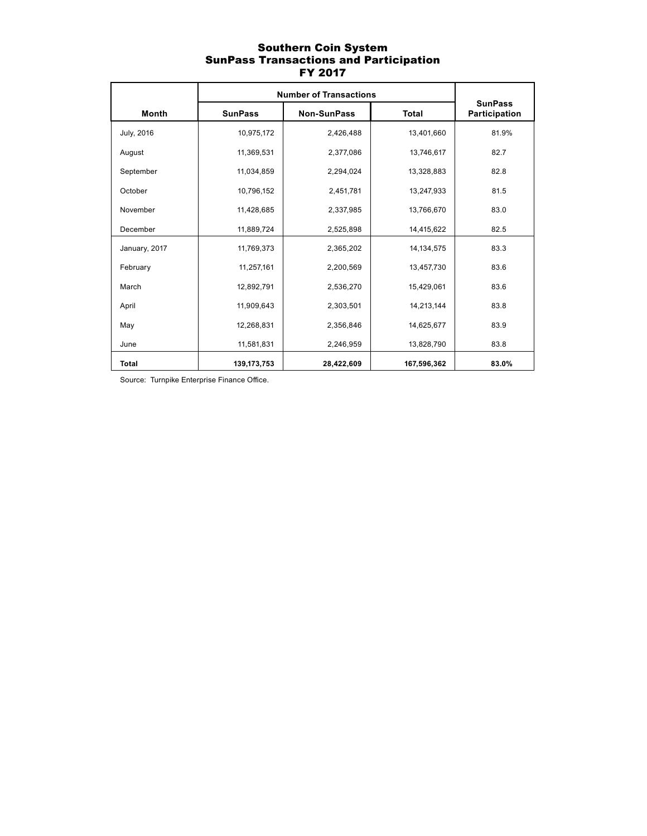### Southern Coin System SunPass Transactions and Participation FY 2017

|               | <b>Number of Transactions</b> |             |              |                                 |
|---------------|-------------------------------|-------------|--------------|---------------------------------|
| Month         | <b>SunPass</b>                | Non-SunPass | <b>Total</b> | <b>SunPass</b><br>Participation |
| July, 2016    | 10,975,172                    | 2,426,488   | 13,401,660   | 81.9%                           |
| August        | 11,369,531                    | 2,377,086   | 13,746,617   | 82.7                            |
| September     | 11,034,859                    | 2,294,024   | 13,328,883   | 82.8                            |
| October       | 10,796,152                    | 2,451,781   | 13,247,933   | 81.5                            |
| November      | 11,428,685                    | 2,337,985   | 13,766,670   | 83.0                            |
| December      | 11,889,724                    | 2,525,898   | 14,415,622   | 82.5                            |
| January, 2017 | 11,769,373                    | 2,365,202   | 14, 134, 575 | 83.3                            |
| February      | 11,257,161                    | 2,200,569   | 13,457,730   | 83.6                            |
| March         | 12,892,791                    | 2,536,270   | 15,429,061   | 83.6                            |
| April         | 11,909,643                    | 2,303,501   | 14,213,144   | 83.8                            |
| May           | 12,268,831                    | 2,356,846   | 14,625,677   | 83.9                            |
| June          | 11,581,831                    | 2,246,959   | 13,828,790   | 83.8                            |
| <b>Total</b>  | 139, 173, 753                 | 28,422,609  | 167,596,362  | 83.0%                           |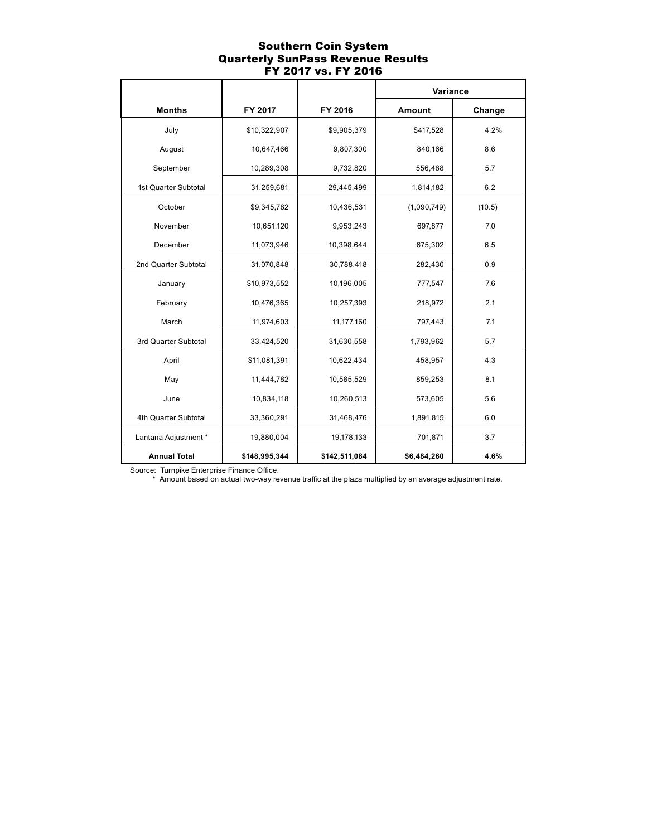### Southern Coin System Quarterly SunPass Revenue Results FY 2017 vs. FY 2016

|                      |               |               | Variance    |        |
|----------------------|---------------|---------------|-------------|--------|
| <b>Months</b>        | FY 2017       | FY 2016       | Amount      | Change |
| July                 | \$10,322,907  | \$9,905,379   | \$417,528   | 4.2%   |
| August               | 10,647,466    | 9,807,300     | 840,166     | 8.6    |
| September            | 10,289,308    | 9,732,820     | 556,488     | 5.7    |
| 1st Quarter Subtotal | 31,259,681    | 29,445,499    | 1,814,182   | 6.2    |
| October              | \$9,345,782   | 10,436,531    | (1,090,749) | (10.5) |
| November             | 10,651,120    | 9,953,243     | 697,877     | 7.0    |
| December             | 11,073,946    | 10,398,644    | 675,302     | 6.5    |
| 2nd Quarter Subtotal | 31,070,848    | 30,788,418    | 282,430     | 0.9    |
| January              | \$10,973,552  | 10,196,005    | 777,547     | 7.6    |
| February             | 10,476,365    | 10,257,393    | 218,972     | 2.1    |
| March                | 11,974,603    | 11,177,160    | 797,443     | 7.1    |
| 3rd Quarter Subtotal | 33,424,520    | 31,630,558    | 1,793,962   | 5.7    |
| April                | \$11,081,391  | 10,622,434    | 458,957     | 4.3    |
| May                  | 11,444,782    | 10,585,529    | 859,253     | 8.1    |
| June                 | 10,834,118    | 10,260,513    | 573,605     | 5.6    |
| 4th Quarter Subtotal | 33,360,291    | 31,468,476    | 1,891,815   | 6.0    |
| Lantana Adjustment * | 19,880,004    | 19,178,133    | 701,871     | 3.7    |
| <b>Annual Total</b>  | \$148,995,344 | \$142,511,084 | \$6,484,260 | 4.6%   |

Source: Turnpike Enterprise Finance Office.

\* Amount based on actual two-way revenue traffic at the plaza multiplied by an average adjustment rate.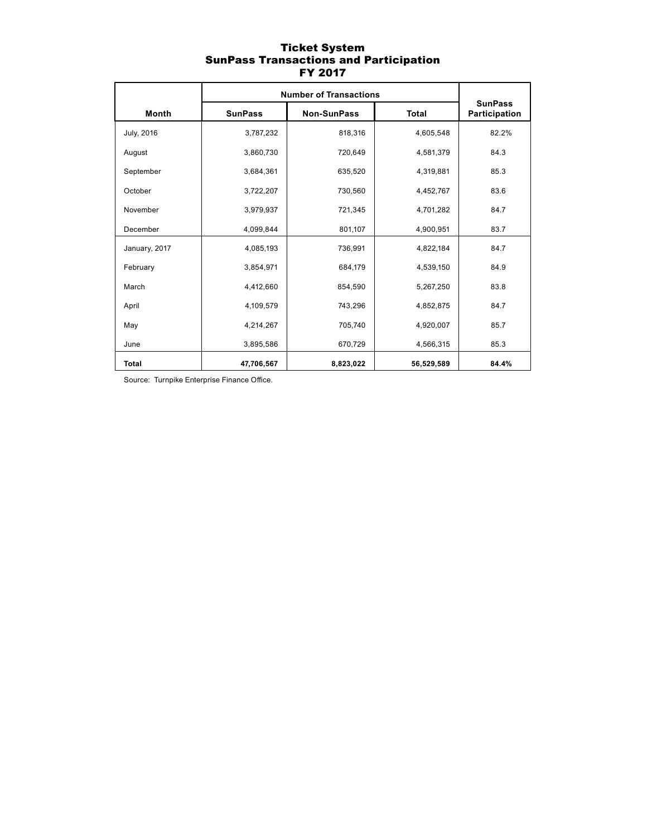### Ticket System SunPass Transactions and Participation FY 2017

|               | <b>Number of Transactions</b> |             |              |                                 |
|---------------|-------------------------------|-------------|--------------|---------------------------------|
| <b>Month</b>  | <b>SunPass</b>                | Non-SunPass | <b>Total</b> | <b>SunPass</b><br>Participation |
| July, 2016    | 3,787,232                     | 818,316     | 4,605,548    | 82.2%                           |
| August        | 3,860,730                     | 720,649     | 4,581,379    | 84.3                            |
| September     | 3,684,361                     | 635,520     | 4,319,881    | 85.3                            |
| October       | 3,722,207                     | 730,560     | 4,452,767    | 83.6                            |
| November      | 3,979,937                     | 721,345     | 4,701,282    | 84.7                            |
| December      | 4.099.844                     | 801.107     | 4.900.951    | 83.7                            |
| January, 2017 | 4,085,193                     | 736,991     | 4,822,184    | 84.7                            |
| February      | 3,854,971                     | 684,179     | 4,539,150    | 84.9                            |
| March         | 4,412,660                     | 854,590     | 5,267,250    | 83.8                            |
| April         | 4,109,579                     | 743,296     | 4,852,875    | 84.7                            |
| May           | 4,214,267                     | 705,740     | 4,920,007    | 85.7                            |
| June          | 3,895,586                     | 670,729     | 4,566,315    | 85.3                            |
| <b>Total</b>  | 47,706,567                    | 8,823,022   | 56,529,589   | 84.4%                           |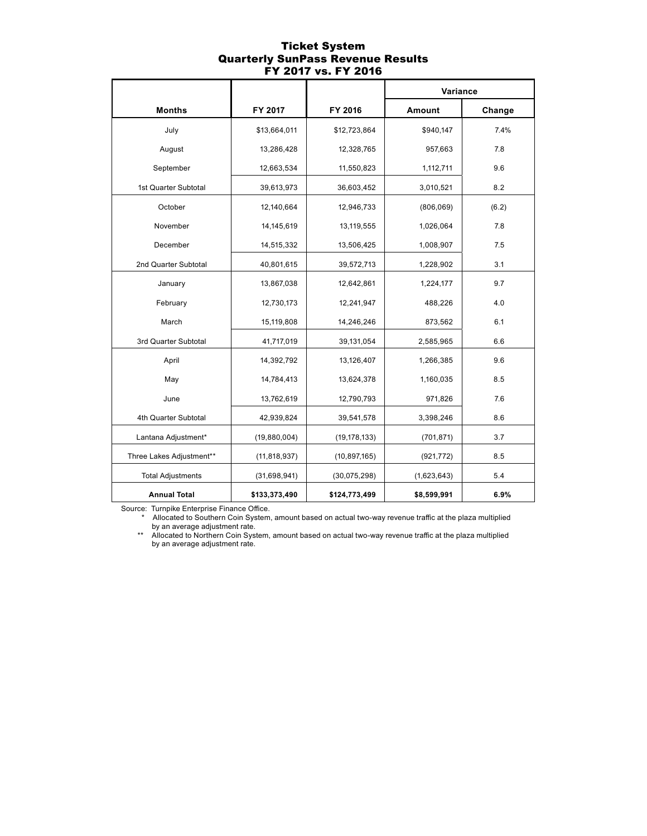#### Ticket System Quarterly SunPass Revenue Results FY 2017 vs. FY 2016

|                          |                |                | Variance    |        |
|--------------------------|----------------|----------------|-------------|--------|
| <b>Months</b>            | FY 2017        | FY 2016        | Amount      | Change |
| July                     | \$13,664,011   | \$12,723,864   | \$940,147   | 7.4%   |
| August                   | 13,286,428     | 12,328,765     | 957,663     | 7.8    |
| September                | 12,663,534     | 11,550,823     | 1,112,711   | 9.6    |
| 1st Quarter Subtotal     | 39,613,973     | 36,603,452     | 3,010,521   | 8.2    |
| October                  | 12,140,664     | 12,946,733     | (806,069)   | (6.2)  |
| November                 | 14,145,619     | 13,119,555     | 1,026,064   | 7.8    |
| December                 | 14,515,332     | 13,506,425     | 1,008,907   | 7.5    |
| 2nd Quarter Subtotal     | 40,801,615     | 39,572,713     | 1,228,902   | 3.1    |
| January                  | 13,867,038     | 12,642,861     | 1,224,177   | 9.7    |
| February                 | 12,730,173     | 12,241,947     | 488,226     | 4.0    |
| March                    | 15,119,808     | 14,246,246     | 873,562     | 6.1    |
| 3rd Quarter Subtotal     | 41,717,019     | 39,131,054     | 2,585,965   | 6.6    |
| April                    | 14,392,792     | 13,126,407     | 1,266,385   | 9.6    |
| May                      | 14,784,413     | 13,624,378     | 1,160,035   | 8.5    |
| June                     | 13,762,619     | 12,790,793     | 971,826     | 7.6    |
| 4th Quarter Subtotal     | 42,939,824     | 39,541,578     | 3,398,246   | 8.6    |
| Lantana Adjustment*      | (19,880,004)   | (19, 178, 133) | (701, 871)  | 3.7    |
| Three Lakes Adjustment** | (11, 818, 937) | (10, 897, 165) | (921, 772)  | 8.5    |
| <b>Total Adjustments</b> | (31, 698, 941) | (30,075,298)   | (1,623,643) | 5.4    |
| <b>Annual Total</b>      | \$133,373,490  | \$124,773,499  | \$8,599,991 | 6.9%   |

Source: Turnpike Enterprise Finance Office.

Allocated to Southern Coin System, amount based on actual two-way revenue traffic at the plaza multiplied by an average adjustment rate.

 \*\* Allocated to Northern Coin System, amount based on actual two-way revenue traffic at the plaza multiplied by an average adjustment rate.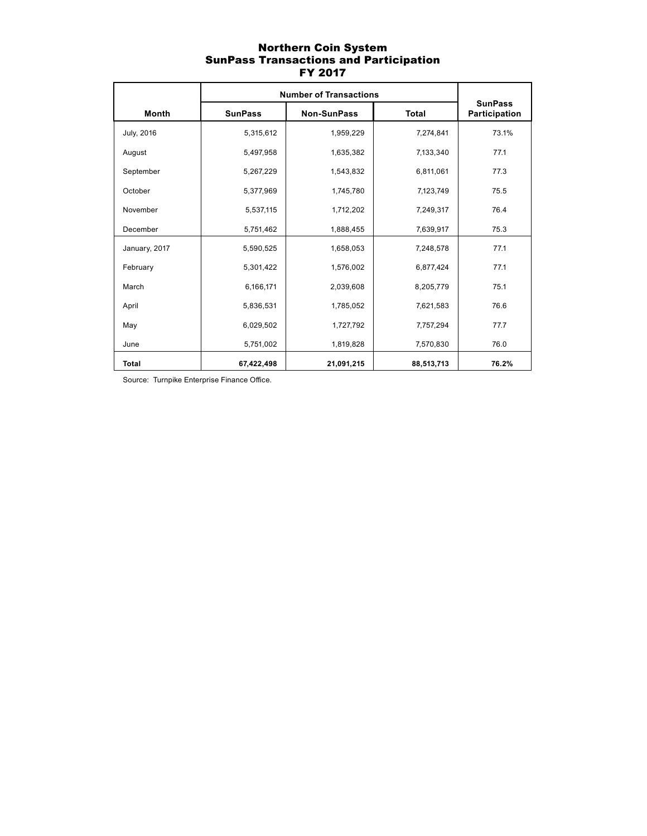### Northern Coin System SunPass Transactions and Participation FY 2017

|               | <b>Number of Transactions</b> |                    |              |                                 |
|---------------|-------------------------------|--------------------|--------------|---------------------------------|
| <b>Month</b>  | <b>SunPass</b>                | <b>Non-SunPass</b> | <b>Total</b> | <b>SunPass</b><br>Participation |
| July, 2016    | 5,315,612                     | 1,959,229          | 7,274,841    | 73.1%                           |
| August        | 5,497,958                     | 1,635,382          | 7,133,340    | 77.1                            |
| September     | 5,267,229                     | 1,543,832          | 6,811,061    | 77.3                            |
| October       | 5,377,969                     | 1,745,780          | 7,123,749    | 75.5                            |
| November      | 5,537,115                     | 1,712,202          | 7,249,317    | 76.4                            |
| December      | 5,751,462                     | 1,888,455          | 7,639,917    | 75.3                            |
| January, 2017 | 5,590,525                     | 1,658,053          | 7,248,578    | 77.1                            |
| February      | 5,301,422                     | 1,576,002          | 6,877,424    | 77.1                            |
| March         | 6,166,171                     | 2,039,608          | 8,205,779    | 75.1                            |
| April         | 5,836,531                     | 1,785,052          | 7,621,583    | 76.6                            |
| May           | 6,029,502                     | 1,727,792          | 7,757,294    | 77.7                            |
| June          | 5,751,002                     | 1,819,828          | 7,570,830    | 76.0                            |
| <b>Total</b>  | 67,422,498                    | 21,091,215         | 88,513,713   | 76.2%                           |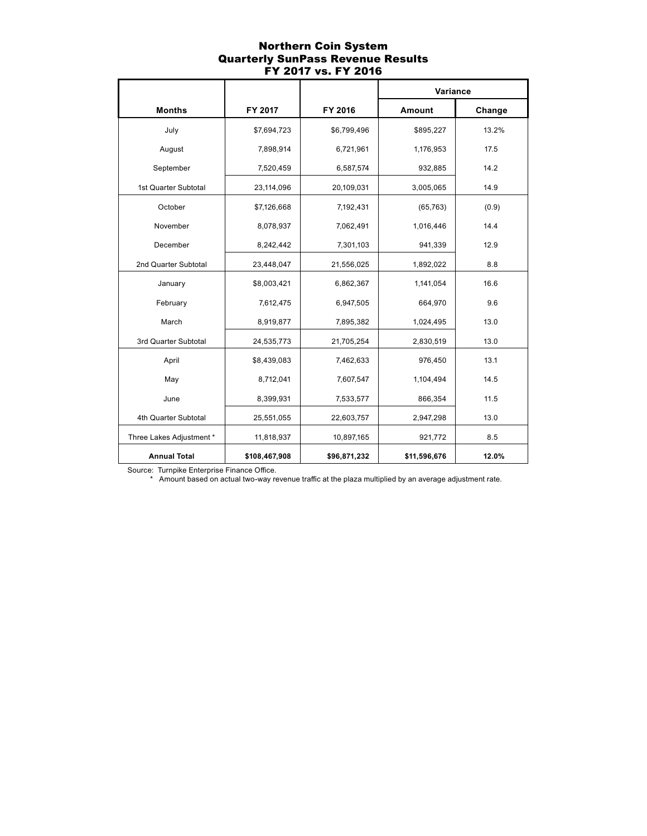### Northern Coin System Quarterly SunPass Revenue Results FY 2017 vs. FY 2016

|                          |               |              | Variance     |        |
|--------------------------|---------------|--------------|--------------|--------|
| <b>Months</b>            | FY 2017       | FY 2016      | Amount       | Change |
| July                     | \$7,694,723   | \$6,799,496  | \$895,227    | 13.2%  |
| August                   | 7,898,914     | 6,721,961    | 1,176,953    | 17.5   |
| September                | 7,520,459     | 6,587,574    | 932,885      | 14.2   |
| 1st Quarter Subtotal     | 23,114,096    | 20,109,031   | 3,005,065    | 14.9   |
| October                  | \$7,126,668   | 7,192,431    | (65, 763)    | (0.9)  |
| November                 | 8,078,937     | 7,062,491    | 1,016,446    | 14.4   |
| December                 | 8,242,442     | 7,301,103    | 941,339      | 12.9   |
| 2nd Quarter Subtotal     | 23,448,047    | 21,556,025   | 1,892,022    | 8.8    |
| January                  | \$8,003,421   | 6,862,367    | 1,141,054    | 16.6   |
| February                 | 7,612,475     | 6,947,505    | 664,970      | 9.6    |
| March                    | 8,919,877     | 7,895,382    | 1,024,495    | 13.0   |
| 3rd Quarter Subtotal     | 24,535,773    | 21,705,254   | 2,830,519    | 13.0   |
| April                    | \$8,439,083   | 7,462,633    | 976,450      | 13.1   |
| May                      | 8,712,041     | 7,607,547    | 1,104,494    | 14.5   |
| June                     | 8,399,931     | 7,533,577    | 866,354      | 11.5   |
| 4th Quarter Subtotal     | 25,551,055    | 22,603,757   | 2,947,298    | 13.0   |
| Three Lakes Adjustment * | 11,818,937    | 10,897,165   | 921,772      | 8.5    |
| <b>Annual Total</b>      | \$108,467,908 | \$96,871,232 | \$11,596,676 | 12.0%  |

Source: Turnpike Enterprise Finance Office.

\* Amount based on actual two-way revenue traffic at the plaza multiplied by an average adjustment rate.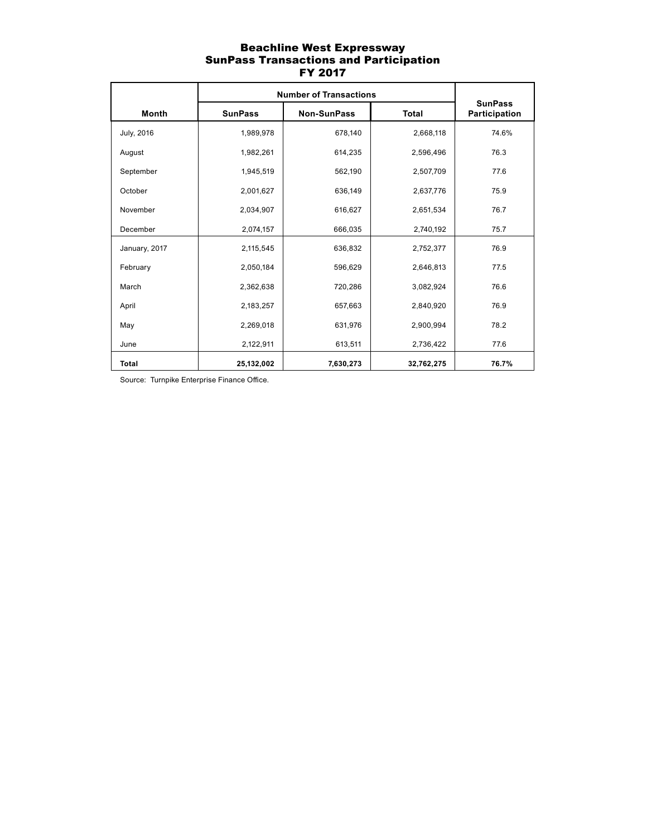### Beachline West Expressway SunPass Transactions and Participation FY 2017

|               | <b>Number of Transactions</b> |                    |              |                                 |
|---------------|-------------------------------|--------------------|--------------|---------------------------------|
| Month         | <b>SunPass</b>                | <b>Non-SunPass</b> | <b>Total</b> | <b>SunPass</b><br>Participation |
| July, 2016    | 1,989,978                     | 678,140            | 2,668,118    | 74.6%                           |
| August        | 1,982,261                     | 614,235            | 2,596,496    | 76.3                            |
| September     | 1,945,519                     | 562,190            | 2,507,709    | 77.6                            |
| October       | 2,001,627                     | 636,149            | 2,637,776    | 75.9                            |
| November      | 2,034,907                     | 616,627            | 2,651,534    | 76.7                            |
| December      | 2,074,157                     | 666.035            | 2,740,192    | 75.7                            |
| January, 2017 | 2,115,545                     | 636,832            | 2,752,377    | 76.9                            |
| February      | 2,050,184                     | 596,629            | 2,646,813    | 77.5                            |
| March         | 2,362,638                     | 720,286            | 3,082,924    | 76.6                            |
| April         | 2,183,257                     | 657,663            | 2,840,920    | 76.9                            |
| May           | 2,269,018                     | 631,976            | 2,900,994    | 78.2                            |
| June          | 2,122,911                     | 613,511            | 2,736,422    | 77.6                            |
| <b>Total</b>  | 25,132,002                    | 7,630,273          | 32,762,275   | 76.7%                           |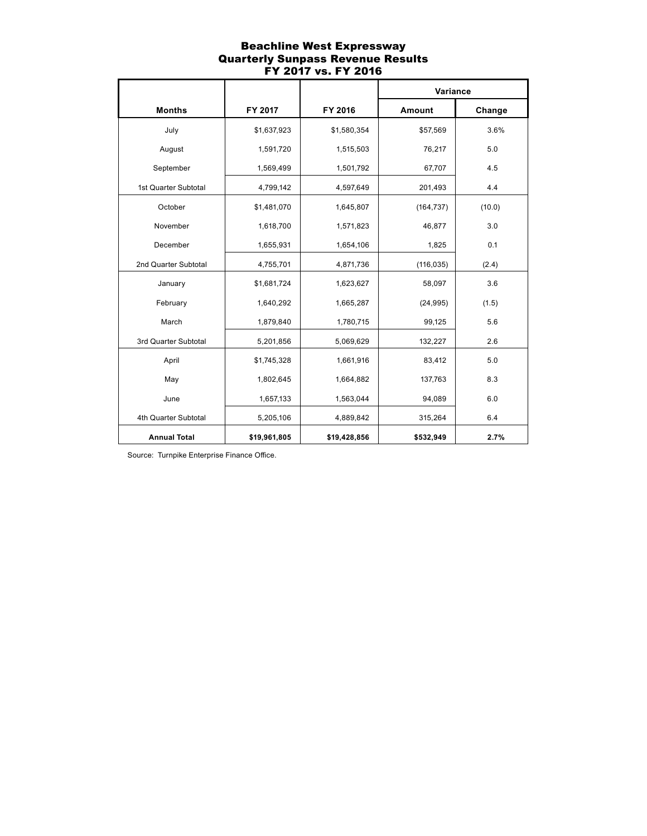## Beachline West Expressway Quarterly Sunpass Revenue Results FY 2017 vs. FY 2016

|                      |              |              | Variance   |        |
|----------------------|--------------|--------------|------------|--------|
| <b>Months</b>        | FY 2017      | FY 2016      | Amount     | Change |
| July                 | \$1,637,923  | \$1,580,354  | \$57,569   | 3.6%   |
| August               | 1,591,720    | 1,515,503    | 76,217     | 5.0    |
| September            | 1,569,499    | 1,501,792    | 67,707     | 4.5    |
| 1st Quarter Subtotal | 4,799,142    | 4,597,649    | 201,493    | 4.4    |
| October              | \$1,481,070  | 1,645,807    | (164, 737) | (10.0) |
| November             | 1,618,700    | 1,571,823    | 46,877     | 3.0    |
| December             | 1,655,931    | 1,654,106    | 1,825      | 0.1    |
| 2nd Quarter Subtotal | 4,755,701    | 4,871,736    | (116, 035) | (2.4)  |
| January              | \$1,681,724  | 1,623,627    | 58,097     | 3.6    |
| February             | 1,640,292    | 1,665,287    | (24, 995)  | (1.5)  |
| March                | 1,879,840    | 1,780,715    | 99,125     | 5.6    |
| 3rd Quarter Subtotal | 5,201,856    | 5,069,629    | 132,227    | 2.6    |
| April                | \$1,745,328  | 1,661,916    | 83,412     | 5.0    |
| May                  | 1,802,645    | 1,664,882    | 137,763    | 8.3    |
| June                 | 1,657,133    | 1,563,044    | 94,089     | 6.0    |
| 4th Quarter Subtotal | 5,205,106    | 4,889,842    | 315,264    | 6.4    |
| <b>Annual Total</b>  | \$19,961,805 | \$19,428,856 | \$532,949  | 2.7%   |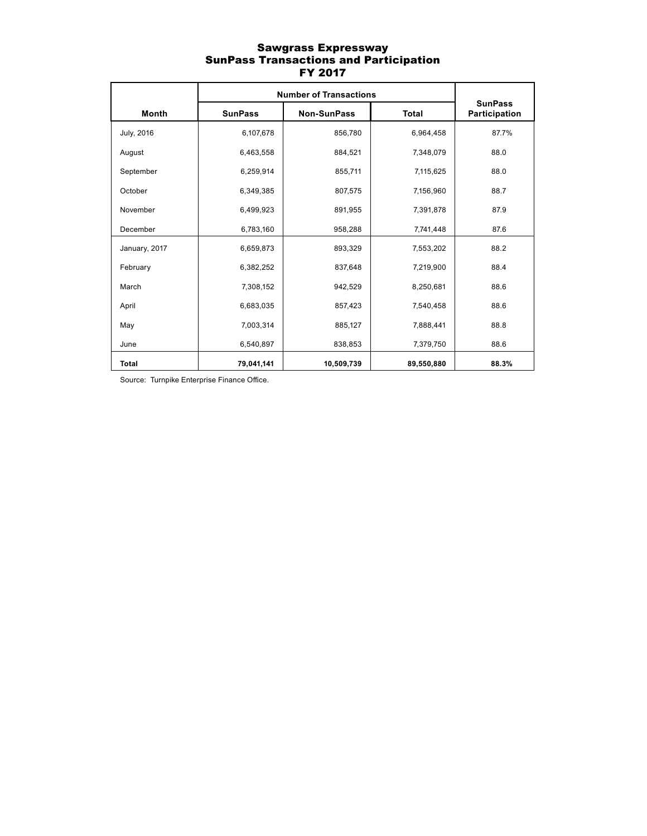### Sawgrass Expressway SunPass Transactions and Participation FY 2017

|               | <b>Number of Transactions</b> |                    |              |                                 |
|---------------|-------------------------------|--------------------|--------------|---------------------------------|
| <b>Month</b>  | <b>SunPass</b>                | <b>Non-SunPass</b> | <b>Total</b> | <b>SunPass</b><br>Participation |
| July, 2016    | 6,107,678                     | 856,780            | 6,964,458    | 87.7%                           |
| August        | 6,463,558                     | 884,521            | 7,348,079    | 88.0                            |
| September     | 6,259,914                     | 855,711            | 7,115,625    | 88.0                            |
| October       | 6,349,385                     | 807,575            | 7,156,960    | 88.7                            |
| November      | 6,499,923                     | 891,955            | 7,391,878    | 87.9                            |
| December      | 6,783,160                     | 958,288            | 7,741,448    | 87.6                            |
| January, 2017 | 6,659,873                     | 893,329            | 7,553,202    | 88.2                            |
| February      | 6,382,252                     | 837,648            | 7,219,900    | 88.4                            |
| March         | 7,308,152                     | 942,529            | 8,250,681    | 88.6                            |
| April         | 6,683,035                     | 857,423            | 7,540,458    | 88.6                            |
| May           | 7,003,314                     | 885,127            | 7,888,441    | 88.8                            |
| June          | 6,540,897                     | 838,853            | 7,379,750    | 88.6                            |
| <b>Total</b>  | 79,041,141                    | 10,509,739         | 89,550,880   | 88.3%                           |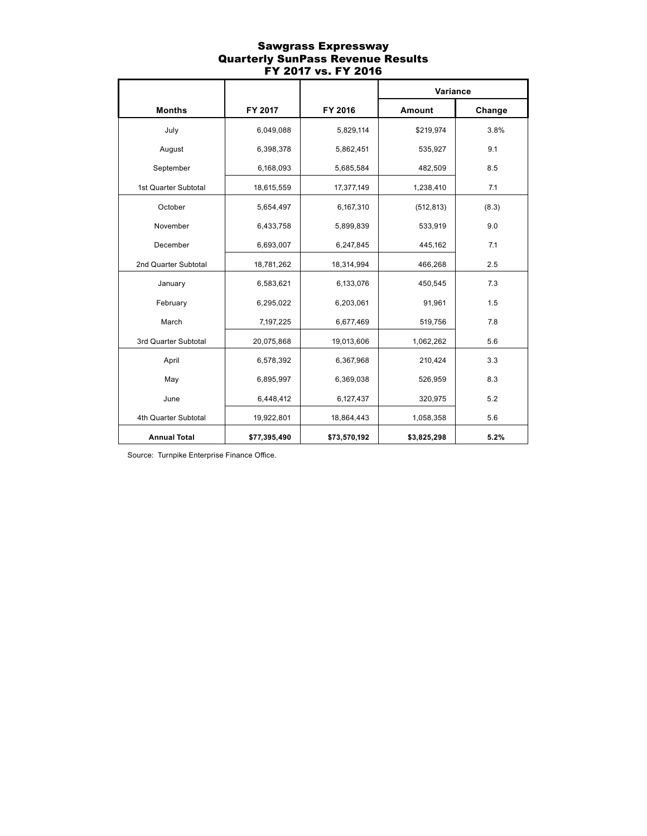#### Sawgrass Expressway Quarterly SunPass Revenue Results FY 2017 vs. FY 2016

|                      |              |              | Variance    |        |
|----------------------|--------------|--------------|-------------|--------|
| <b>Months</b>        | FY 2017      | FY 2016      | Amount      | Change |
| July                 | 6,049,088    | 5,829,114    | \$219,974   | 3.8%   |
| August               | 6,398,378    | 5,862,451    | 535,927     | 9.1    |
| September            | 6,168,093    | 5,685,584    | 482,509     | 8.5    |
| 1st Quarter Subtotal | 18,615,559   | 17,377,149   | 1,238,410   | 7.1    |
| October              | 5,654,497    | 6,167,310    | (512, 813)  | (8.3)  |
| November             | 6,433,758    | 5,899,839    | 533,919     | 9.0    |
| December             | 6,693,007    | 6,247,845    | 445,162     | 7.1    |
| 2nd Quarter Subtotal | 18,781,262   | 18,314,994   | 466,268     | 2.5    |
| January              | 6,583,621    | 6,133,076    | 450,545     | 7.3    |
| February             | 6,295,022    | 6,203,061    | 91,961      | 1.5    |
| March                | 7,197,225    | 6,677,469    | 519,756     | 7.8    |
| 3rd Quarter Subtotal | 20,075,868   | 19,013,606   | 1,062,262   | 5.6    |
| April                | 6,578,392    | 6,367,968    | 210,424     | 3.3    |
| May                  | 6,895,997    | 6,369,038    | 526,959     | 8.3    |
| June                 | 6,448,412    | 6,127,437    | 320,975     | 5.2    |
| 4th Quarter Subtotal | 19,922,801   | 18,864,443   | 1,058,358   | 5.6    |
| <b>Annual Total</b>  | \$77,395,490 | \$73,570,192 | \$3,825,298 | 5.2%   |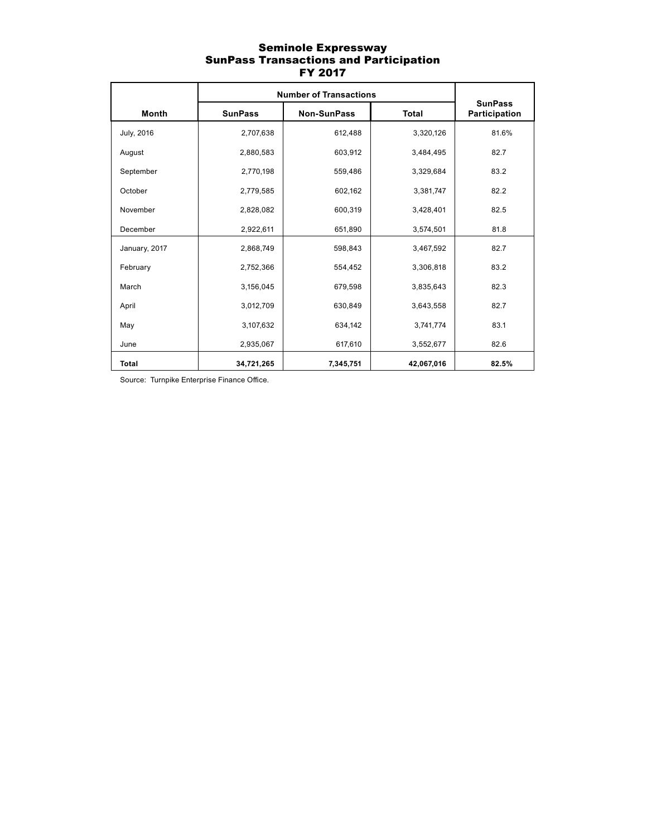### Seminole Expressway SunPass Transactions and Participation FY 2017

|               | <b>Number of Transactions</b> |                    |              |                                 |
|---------------|-------------------------------|--------------------|--------------|---------------------------------|
| Month         | <b>SunPass</b>                | <b>Non-SunPass</b> | <b>Total</b> | <b>SunPass</b><br>Participation |
| July, 2016    | 2,707,638                     | 612,488            | 3,320,126    | 81.6%                           |
| August        | 2,880,583                     | 603,912            | 3,484,495    | 82.7                            |
| September     | 2,770,198                     | 559,486            | 3,329,684    | 83.2                            |
| October       | 2,779,585                     | 602,162            | 3,381,747    | 82.2                            |
| November      | 2,828,082                     | 600,319            | 3,428,401    | 82.5                            |
| December      | 2,922,611                     | 651,890            | 3,574,501    | 81.8                            |
| January, 2017 | 2,868,749                     | 598,843            | 3,467,592    | 82.7                            |
| February      | 2,752,366                     | 554,452            | 3,306,818    | 83.2                            |
| March         | 3,156,045                     | 679,598            | 3,835,643    | 82.3                            |
| April         | 3,012,709                     | 630,849            | 3,643,558    | 82.7                            |
| May           | 3,107,632                     | 634,142            | 3,741,774    | 83.1                            |
| June          | 2,935,067                     | 617,610            | 3,552,677    | 82.6                            |
| <b>Total</b>  | 34,721,265                    | 7,345,751          | 42,067,016   | 82.5%                           |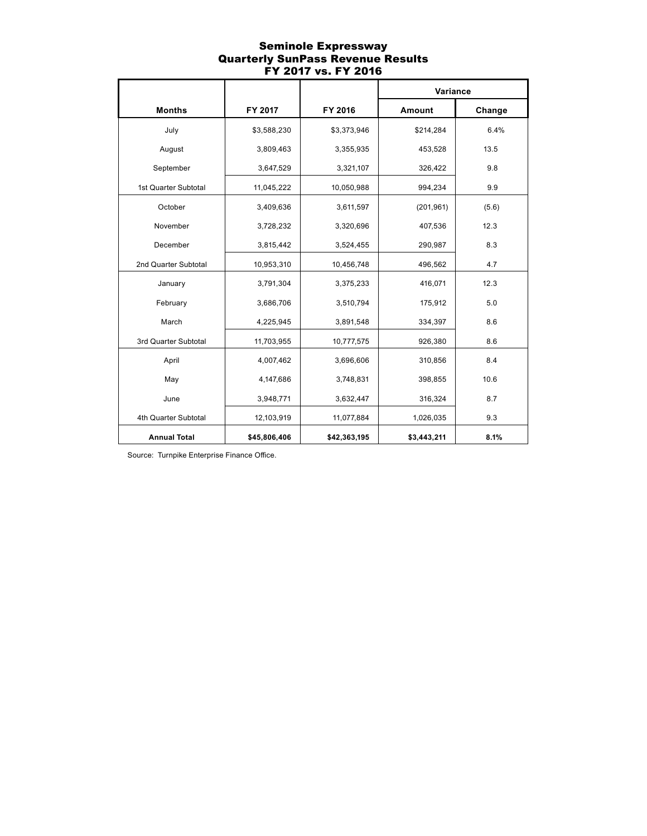### Seminole Expressway Quarterly SunPass Revenue Results FY 2017 vs. FY 2016

|                      |              |              | Variance    |        |
|----------------------|--------------|--------------|-------------|--------|
| <b>Months</b>        | FY 2017      | FY 2016      | Amount      | Change |
| July                 | \$3,588,230  | \$3,373,946  | \$214,284   | 6.4%   |
| August               | 3,809,463    | 3,355,935    | 453,528     | 13.5   |
| September            | 3,647,529    | 3,321,107    | 326,422     | 9.8    |
| 1st Quarter Subtotal | 11,045,222   | 10,050,988   | 994,234     | 9.9    |
| October              | 3,409,636    | 3,611,597    | (201, 961)  | (5.6)  |
| November             | 3,728,232    | 3,320,696    | 407,536     | 12.3   |
| December             | 3,815,442    | 3,524,455    | 290,987     | 8.3    |
| 2nd Quarter Subtotal | 10,953,310   | 10,456,748   | 496,562     | 4.7    |
| January              | 3,791,304    | 3,375,233    | 416,071     | 12.3   |
| February             | 3,686,706    | 3,510,794    | 175,912     | 5.0    |
| March                | 4,225,945    | 3,891,548    | 334,397     | 8.6    |
| 3rd Quarter Subtotal | 11,703,955   | 10,777,575   | 926,380     | 8.6    |
| April                | 4,007,462    | 3,696,606    | 310,856     | 8.4    |
| May                  | 4,147,686    | 3,748,831    | 398,855     | 10.6   |
| June                 | 3,948,771    | 3,632,447    | 316,324     | 8.7    |
| 4th Quarter Subtotal | 12,103,919   | 11,077,884   | 1,026,035   | 9.3    |
| <b>Annual Total</b>  | \$45,806,406 | \$42,363,195 | \$3,443,211 | 8.1%   |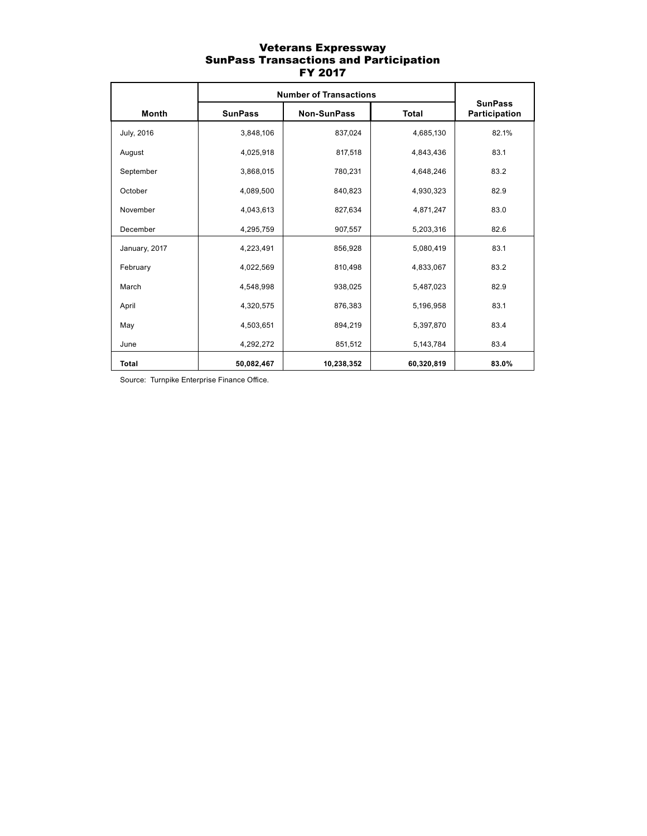### Veterans Expressway SunPass Transactions and Participation FY 2017

|               | <b>Number of Transactions</b> |                    |              |                                 |
|---------------|-------------------------------|--------------------|--------------|---------------------------------|
| Month         | <b>SunPass</b>                | <b>Non-SunPass</b> | <b>Total</b> | <b>SunPass</b><br>Participation |
| July, 2016    | 3,848,106                     | 837,024            | 4,685,130    | 82.1%                           |
| August        | 4,025,918                     | 817,518            | 4,843,436    | 83.1                            |
| September     | 3,868,015                     | 780,231            | 4,648,246    | 83.2                            |
| October       | 4,089,500                     | 840,823            | 4,930,323    | 82.9                            |
| November      | 4,043,613                     | 827,634            | 4,871,247    | 83.0                            |
| December      | 4,295,759                     | 907,557            | 5,203,316    | 82.6                            |
| January, 2017 | 4,223,491                     | 856,928            | 5,080,419    | 83.1                            |
| February      | 4,022,569                     | 810,498            | 4,833,067    | 83.2                            |
| March         | 4,548,998                     | 938,025            | 5,487,023    | 82.9                            |
| April         | 4,320,575                     | 876,383            | 5,196,958    | 83.1                            |
| May           | 4,503,651                     | 894,219            | 5,397,870    | 83.4                            |
| June          | 4,292,272                     | 851,512            | 5,143,784    | 83.4                            |
| <b>Total</b>  | 50,082,467                    | 10,238,352         | 60,320,819   | 83.0%                           |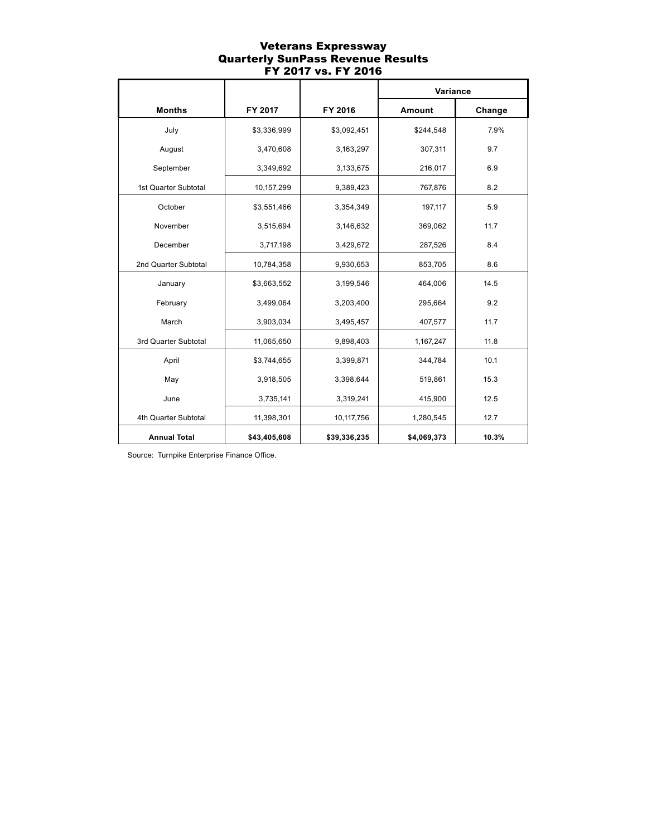### Veterans Expressway Quarterly SunPass Revenue Results FY 2017 vs. FY 2016

|                      |              |              | Variance    |        |
|----------------------|--------------|--------------|-------------|--------|
| <b>Months</b>        | FY 2017      | FY 2016      | Amount      | Change |
| July                 | \$3,336,999  | \$3,092,451  | \$244,548   | 7.9%   |
| August               | 3,470,608    | 3,163,297    | 307,311     | 9.7    |
| September            | 3,349,692    | 3,133,675    | 216,017     | 6.9    |
| 1st Quarter Subtotal | 10,157,299   | 9,389,423    | 767,876     | 8.2    |
| October              | \$3,551,466  | 3,354,349    | 197,117     | 5.9    |
| November             | 3,515,694    | 3,146,632    | 369,062     | 11.7   |
| December             | 3,717,198    | 3,429,672    | 287,526     | 8.4    |
| 2nd Quarter Subtotal | 10,784,358   | 9,930,653    | 853,705     | 8.6    |
| January              | \$3,663,552  | 3,199,546    | 464,006     | 14.5   |
| February             | 3,499,064    | 3,203,400    | 295,664     | 9.2    |
| March                | 3,903,034    | 3,495,457    | 407,577     | 11.7   |
| 3rd Quarter Subtotal | 11,065,650   | 9,898,403    | 1,167,247   | 11.8   |
| April                | \$3,744,655  | 3,399,871    | 344,784     | 10.1   |
| May                  | 3,918,505    | 3,398,644    | 519,861     | 15.3   |
| June                 | 3,735,141    | 3,319,241    | 415,900     | 12.5   |
| 4th Quarter Subtotal | 11,398,301   | 10,117,756   | 1,280,545   | 12.7   |
| <b>Annual Total</b>  | \$43,405,608 | \$39,336,235 | \$4,069,373 | 10.3%  |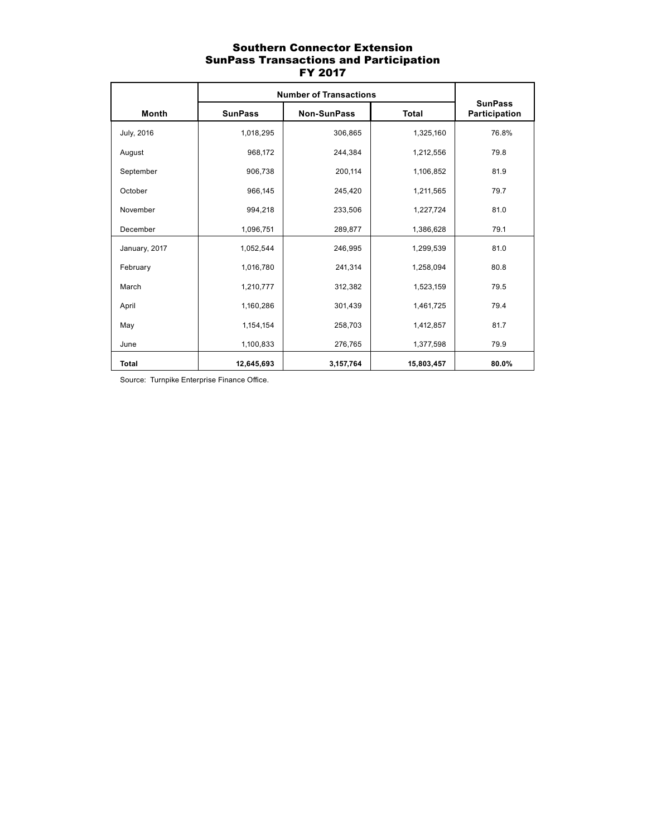# Southern Connector Extension SunPass Transactions and Participation FY 2017

|               | <b>Number of Transactions</b> |                    |              |                                 |
|---------------|-------------------------------|--------------------|--------------|---------------------------------|
| <b>Month</b>  | <b>SunPass</b>                | <b>Non-SunPass</b> | <b>Total</b> | <b>SunPass</b><br>Participation |
| July, 2016    | 1,018,295                     | 306,865            | 1,325,160    | 76.8%                           |
| August        | 968,172                       | 244,384            | 1,212,556    | 79.8                            |
| September     | 906,738                       | 200,114            | 1,106,852    | 81.9                            |
| October       | 966,145                       | 245,420            | 1,211,565    | 79.7                            |
| November      | 994,218                       | 233,506            | 1,227,724    | 81.0                            |
| December      | 1,096,751                     | 289,877            | 1,386,628    | 79.1                            |
| January, 2017 | 1,052,544                     | 246,995            | 1,299,539    | 81.0                            |
| February      | 1,016,780                     | 241,314            | 1,258,094    | 80.8                            |
| March         | 1,210,777                     | 312,382            | 1,523,159    | 79.5                            |
| April         | 1,160,286                     | 301,439            | 1,461,725    | 79.4                            |
| May           | 1,154,154                     | 258,703            | 1,412,857    | 81.7                            |
| June          | 1,100,833                     | 276,765            | 1,377,598    | 79.9                            |
| <b>Total</b>  | 12,645,693                    | 3,157,764          | 15,803,457   | 80.0%                           |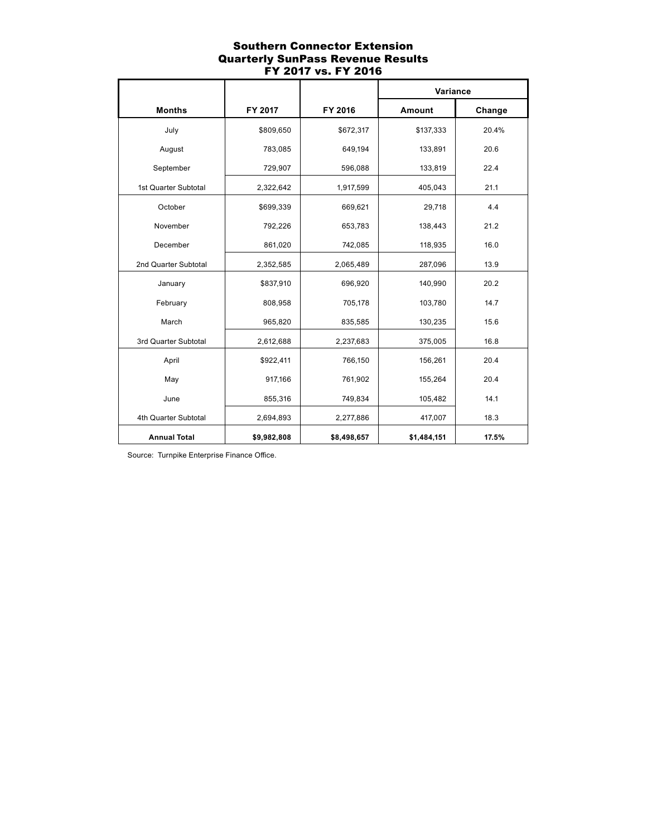## Southern Connector Extension Quarterly SunPass Revenue Results FY 2017 vs. FY 2016

|                      |             |             | Variance    |        |
|----------------------|-------------|-------------|-------------|--------|
| <b>Months</b>        | FY 2017     | FY 2016     | Amount      | Change |
| July                 | \$809,650   | \$672,317   | \$137,333   | 20.4%  |
| August               | 783,085     | 649,194     | 133,891     | 20.6   |
| September            | 729,907     | 596,088     | 133,819     | 22.4   |
| 1st Quarter Subtotal | 2,322,642   | 1,917,599   | 405,043     | 21.1   |
| October              | \$699,339   | 669,621     | 29,718      | 4.4    |
| November             | 792,226     | 653,783     | 138,443     | 21.2   |
| December             | 861,020     | 742,085     | 118,935     | 16.0   |
| 2nd Quarter Subtotal | 2,352,585   | 2,065,489   | 287,096     | 13.9   |
| January              | \$837,910   | 696,920     | 140,990     | 20.2   |
| February             | 808,958     | 705,178     | 103,780     | 14.7   |
| March                | 965,820     | 835,585     | 130,235     | 15.6   |
| 3rd Quarter Subtotal | 2,612,688   | 2,237,683   | 375,005     | 16.8   |
| April                | \$922,411   | 766,150     | 156,261     | 20.4   |
| May                  | 917,166     | 761,902     | 155,264     | 20.4   |
| June                 | 855,316     | 749,834     | 105,482     | 14.1   |
| 4th Quarter Subtotal | 2,694,893   | 2,277,886   | 417,007     | 18.3   |
| <b>Annual Total</b>  | \$9,982,808 | \$8,498,657 | \$1,484,151 | 17.5%  |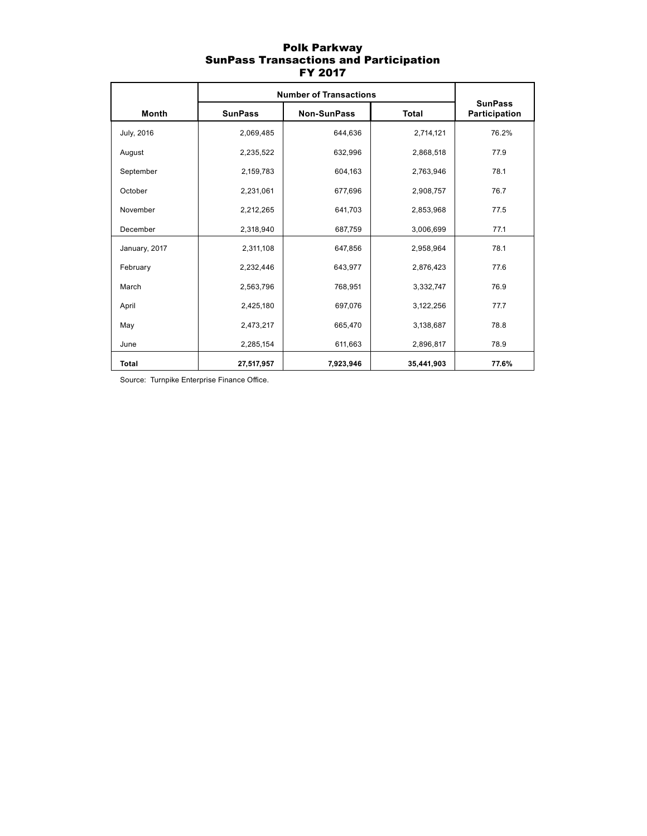## Polk Parkway SunPass Transactions and Participation FY 2017

|                   | <b>Number of Transactions</b> |                    |              |                                 |
|-------------------|-------------------------------|--------------------|--------------|---------------------------------|
| Month             | <b>SunPass</b>                | <b>Non-SunPass</b> | <b>Total</b> | <b>SunPass</b><br>Participation |
| <b>July, 2016</b> | 2,069,485                     | 644,636            | 2,714,121    | 76.2%                           |
| August            | 2,235,522                     | 632,996            | 2,868,518    | 77.9                            |
| September         | 2,159,783                     | 604,163            | 2,763,946    | 78.1                            |
| October           | 2,231,061                     | 677,696            | 2,908,757    | 76.7                            |
| November          | 2,212,265                     | 641,703            | 2,853,968    | 77.5                            |
| December          | 2,318,940                     | 687,759            | 3,006,699    | 77.1                            |
| January, 2017     | 2,311,108                     | 647,856            | 2,958,964    | 78.1                            |
| February          | 2,232,446                     | 643,977            | 2,876,423    | 77.6                            |
| March             | 2,563,796                     | 768,951            | 3,332,747    | 76.9                            |
| April             | 2,425,180                     | 697,076            | 3,122,256    | 77.7                            |
| May               | 2,473,217                     | 665,470            | 3,138,687    | 78.8                            |
| June              | 2,285,154                     | 611,663            | 2,896,817    | 78.9                            |
| <b>Total</b>      | 27,517,957                    | 7,923,946          | 35,441,903   | 77.6%                           |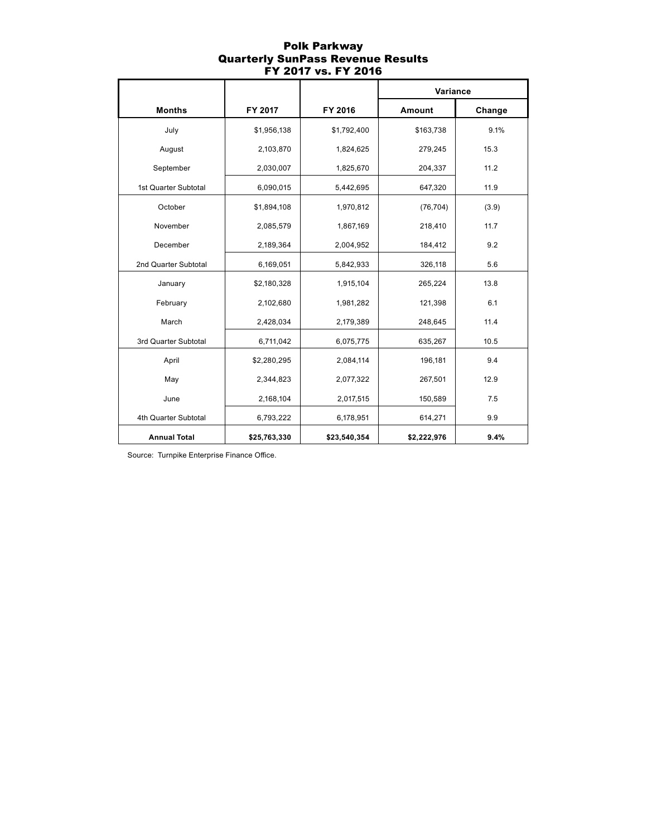### Polk Parkway Quarterly SunPass Revenue Results FY 2017 vs. FY 2016

|                      |              |              | Variance    |        |
|----------------------|--------------|--------------|-------------|--------|
| <b>Months</b>        | FY 2017      | FY 2016      | Amount      | Change |
| July                 | \$1,956,138  | \$1,792,400  | \$163,738   | 9.1%   |
| August               | 2,103,870    | 1,824,625    | 279,245     | 15.3   |
| September            | 2,030,007    | 1,825,670    | 204,337     | 11.2   |
| 1st Quarter Subtotal | 6,090,015    | 5,442,695    | 647,320     | 11.9   |
| October              | \$1,894,108  | 1,970,812    | (76, 704)   | (3.9)  |
| November             | 2,085,579    | 1,867,169    | 218,410     | 11.7   |
| December             | 2,189,364    | 2,004,952    | 184,412     | 9.2    |
| 2nd Quarter Subtotal | 6,169,051    | 5,842,933    | 326,118     | 5.6    |
| January              | \$2,180,328  | 1,915,104    | 265,224     | 13.8   |
| February             | 2,102,680    | 1,981,282    | 121,398     | 6.1    |
| March                | 2,428,034    | 2,179,389    | 248,645     | 11.4   |
| 3rd Quarter Subtotal | 6,711,042    | 6,075,775    | 635,267     | 10.5   |
| April                | \$2,280,295  | 2,084,114    | 196,181     | 9.4    |
| May                  | 2,344,823    | 2,077,322    | 267,501     | 12.9   |
| June                 | 2,168,104    | 2,017,515    | 150,589     | 7.5    |
| 4th Quarter Subtotal | 6,793,222    | 6,178,951    | 614,271     | 9.9    |
| <b>Annual Total</b>  | \$25,763,330 | \$23,540,354 | \$2,222,976 | 9.4%   |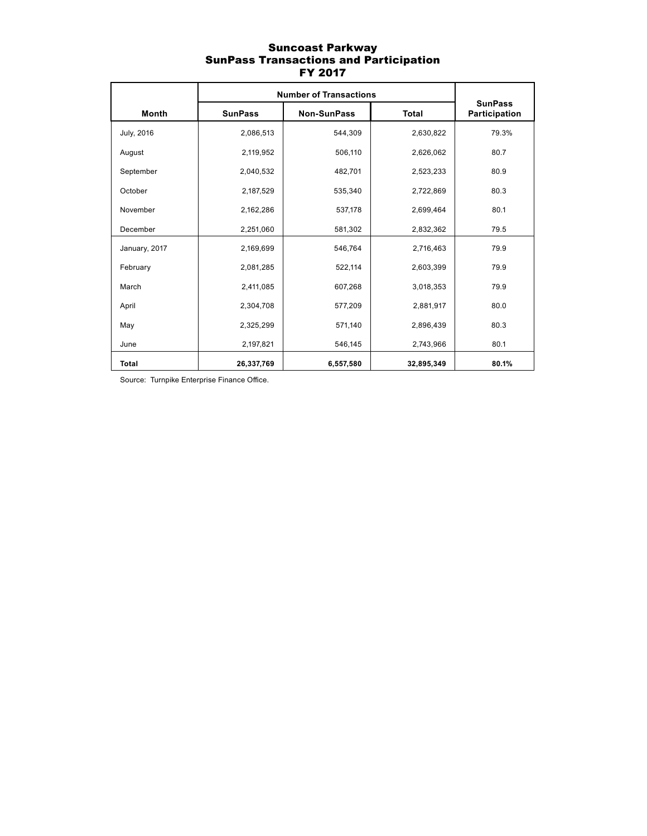### Suncoast Parkway SunPass Transactions and Participation FY 2017

|                   | <b>Number of Transactions</b> |                    |              |                                 |
|-------------------|-------------------------------|--------------------|--------------|---------------------------------|
| Month             | <b>SunPass</b>                | <b>Non-SunPass</b> | <b>Total</b> | <b>SunPass</b><br>Participation |
| <b>July, 2016</b> | 2,086,513                     | 544,309            | 2,630,822    | 79.3%                           |
| August            | 2,119,952                     | 506,110            | 2,626,062    | 80.7                            |
| September         | 2,040,532                     | 482,701            | 2,523,233    | 80.9                            |
| October           | 2,187,529                     | 535,340            | 2,722,869    | 80.3                            |
| November          | 2,162,286                     | 537,178            | 2,699,464    | 80.1                            |
| December          | 2,251,060                     | 581,302            | 2,832,362    | 79.5                            |
| January, 2017     | 2,169,699                     | 546,764            | 2,716,463    | 79.9                            |
| February          | 2,081,285                     | 522,114            | 2,603,399    | 79.9                            |
| March             | 2,411,085                     | 607,268            | 3,018,353    | 79.9                            |
| April             | 2,304,708                     | 577,209            | 2,881,917    | 80.0                            |
| May               | 2,325,299                     | 571,140            | 2,896,439    | 80.3                            |
| June              | 2,197,821                     | 546,145            | 2,743,966    | 80.1                            |
| <b>Total</b>      | 26,337,769                    | 6,557,580          | 32,895,349   | 80.1%                           |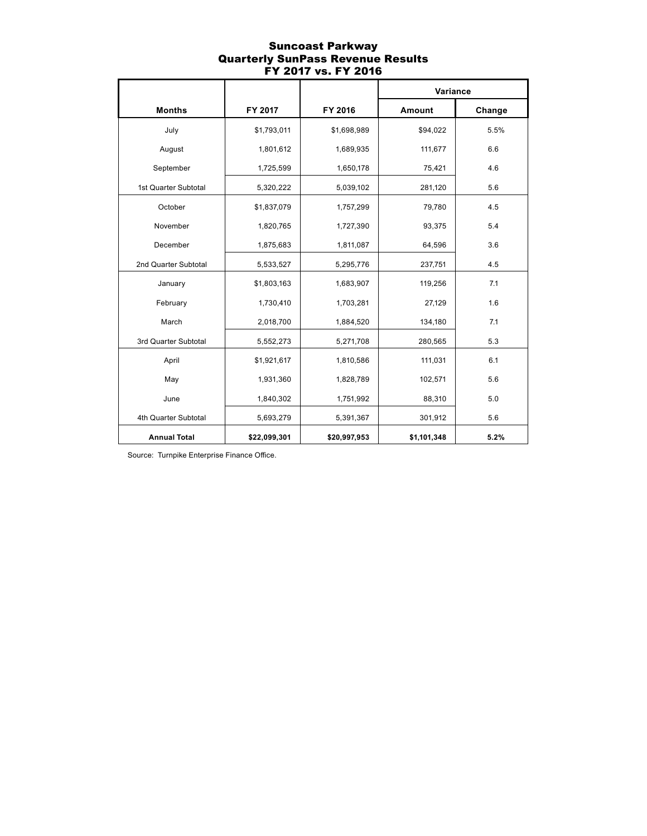#### Suncoast Parkway Quarterly SunPass Revenue Results FY 2017 vs. FY 2016

|                      |              |              | Variance    |        |  |
|----------------------|--------------|--------------|-------------|--------|--|
| <b>Months</b>        | FY 2017      | FY 2016      | Amount      | Change |  |
| July                 | \$1,793,011  | \$1,698,989  | \$94,022    | 5.5%   |  |
| August               | 1,801,612    | 1,689,935    | 111,677     | 6.6    |  |
| September            | 1,725,599    | 1,650,178    | 75,421      | 4.6    |  |
| 1st Quarter Subtotal | 5,320,222    | 5,039,102    | 281,120     | 5.6    |  |
| October              | \$1,837,079  | 1,757,299    | 79,780      | 4.5    |  |
| November             | 1,820,765    | 1,727,390    | 93,375      | 5.4    |  |
| December             | 1,875,683    | 1,811,087    | 64,596      | 3.6    |  |
| 2nd Quarter Subtotal | 5,533,527    | 5,295,776    | 237,751     | 4.5    |  |
| January              | \$1,803,163  | 1,683,907    | 119,256     | 7.1    |  |
| February             | 1,730,410    | 1,703,281    | 27,129      | 1.6    |  |
| March                | 2,018,700    | 1,884,520    | 134,180     | 7.1    |  |
| 3rd Quarter Subtotal | 5,552,273    | 5,271,708    | 280,565     | 5.3    |  |
| April                | \$1,921,617  | 1,810,586    | 111,031     | 6.1    |  |
| May                  | 1,931,360    | 1,828,789    | 102,571     | 5.6    |  |
| June                 | 1,840,302    | 1,751,992    | 88,310      | 5.0    |  |
| 4th Quarter Subtotal | 5,693,279    | 5,391,367    | 301,912     | 5.6    |  |
| <b>Annual Total</b>  | \$22,099,301 | \$20,997,953 | \$1,101,348 | 5.2%   |  |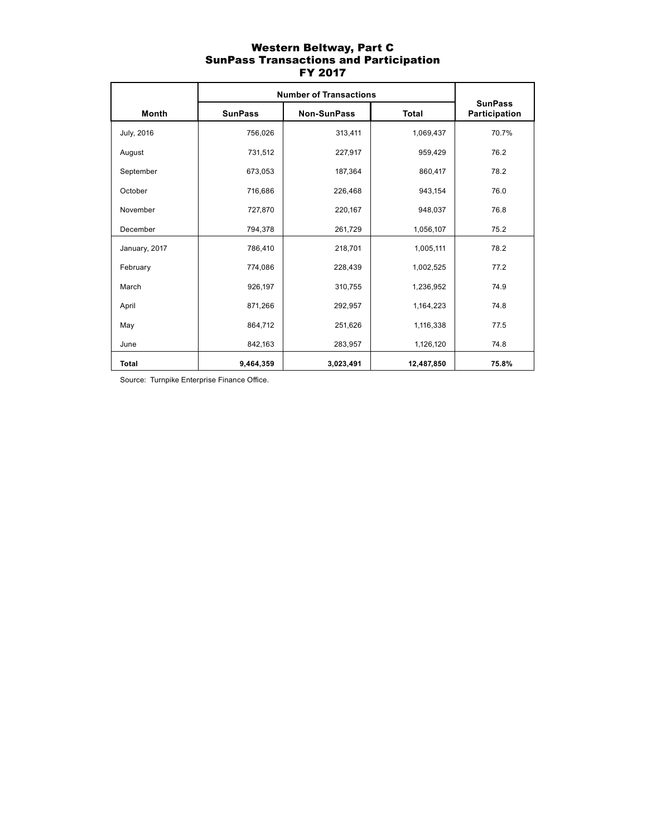### Western Beltway, Part C SunPass Transactions and Participation FY 2017

|                   | <b>Number of Transactions</b> | <b>SunPass</b> |              |               |  |
|-------------------|-------------------------------|----------------|--------------|---------------|--|
| Month             | <b>SunPass</b>                | Non-SunPass    | <b>Total</b> | Participation |  |
| <b>July, 2016</b> | 756,026                       | 313,411        | 1,069,437    | 70.7%         |  |
| August            | 731,512                       | 227,917        | 959,429      | 76.2          |  |
| September         | 673,053                       | 187,364        | 860,417      | 78.2          |  |
| October           | 716,686                       | 226,468        | 943,154      | 76.0          |  |
| November          | 727,870                       | 220,167        | 948,037      | 76.8          |  |
| December          | 794,378                       | 261,729        | 1,056,107    | 75.2          |  |
| January, 2017     | 786,410                       | 218,701        | 1,005,111    | 78.2          |  |
| February          | 774,086                       | 228,439        | 1,002,525    | 77.2          |  |
| March             | 926,197                       | 310,755        | 1,236,952    | 74.9          |  |
| April             | 871,266                       | 292,957        | 1,164,223    | 74.8          |  |
| May               | 864,712                       | 251,626        | 1,116,338    | 77.5          |  |
| June              | 842,163                       | 283,957        | 1,126,120    | 74.8          |  |
| <b>Total</b>      | 9,464,359                     | 3,023,491      | 12,487,850   | 75.8%         |  |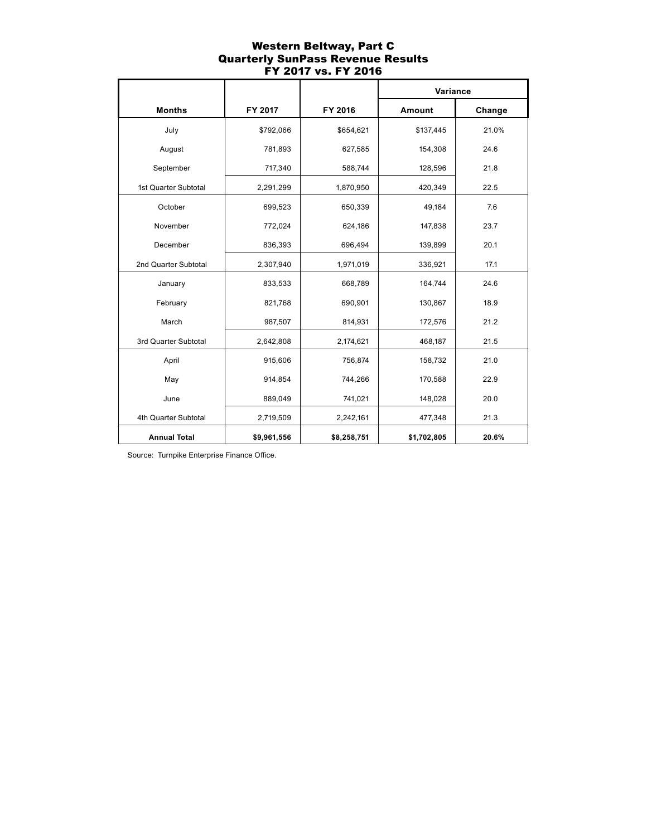### Western Beltway, Part C Quarterly SunPass Revenue Results FY 2017 vs. FY 2016

|                      |             |             | Variance    |        |  |
|----------------------|-------------|-------------|-------------|--------|--|
| <b>Months</b>        | FY 2017     | FY 2016     | Amount      | Change |  |
| July                 | \$792,066   | \$654,621   | \$137,445   | 21.0%  |  |
| August               | 781,893     | 627,585     | 154,308     | 24.6   |  |
| September            | 717,340     | 588,744     | 128,596     | 21.8   |  |
| 1st Quarter Subtotal | 2,291,299   | 1,870,950   | 420,349     | 22.5   |  |
| October              | 699,523     | 650,339     | 49,184      | 7.6    |  |
| November             | 772,024     | 624,186     | 147,838     | 23.7   |  |
| December             | 836,393     | 696,494     | 139,899     | 20.1   |  |
| 2nd Quarter Subtotal | 2,307,940   | 1,971,019   | 336,921     | 17.1   |  |
| January              | 833,533     | 668,789     | 164,744     | 24.6   |  |
| February             | 821,768     | 690,901     | 130,867     | 18.9   |  |
| March                | 987,507     | 814,931     | 172,576     | 21.2   |  |
| 3rd Quarter Subtotal | 2,642,808   | 2,174,621   | 468,187     | 21.5   |  |
| April                | 915,606     | 756,874     | 158,732     | 21.0   |  |
| May                  | 914,854     | 744,266     | 170,588     | 22.9   |  |
| June                 | 889,049     | 741,021     | 148,028     | 20.0   |  |
| 4th Quarter Subtotal | 2,719,509   | 2,242,161   | 477,348     | 21.3   |  |
| <b>Annual Total</b>  | \$9,961,556 | \$8,258,751 | \$1,702,805 | 20.6%  |  |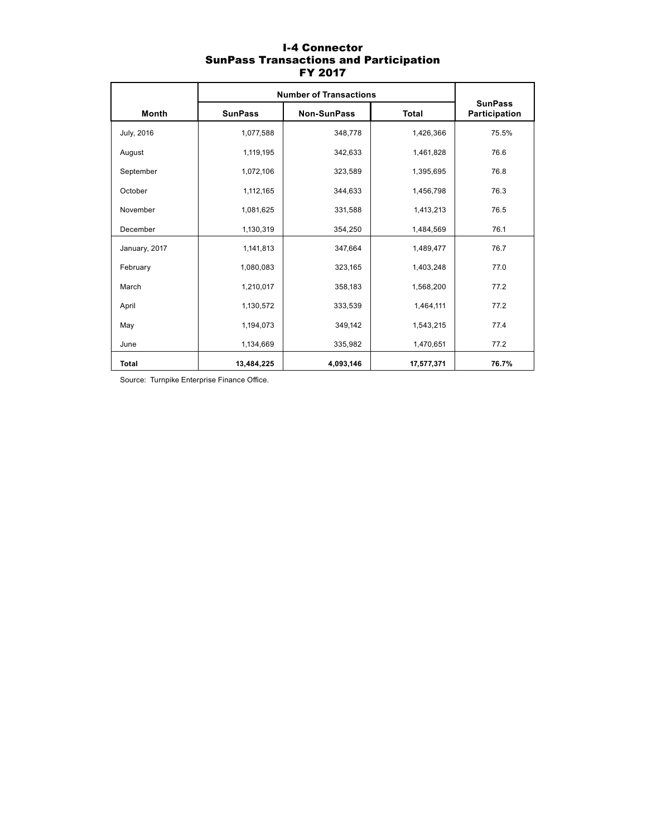# I-4 Connector SunPass Transactions and Participation FY 2017

|               | <b>Number of Transactions</b> | <b>SunPass</b>     |              |               |  |
|---------------|-------------------------------|--------------------|--------------|---------------|--|
| <b>Month</b>  | <b>SunPass</b>                | <b>Non-SunPass</b> | <b>Total</b> | Participation |  |
| July, 2016    | 1,077,588                     | 348,778            | 1,426,366    | 75.5%         |  |
| August        | 1,119,195                     | 342,633            | 1,461,828    | 76.6          |  |
| September     | 1,072,106                     | 323,589            | 1,395,695    | 76.8          |  |
| October       | 1,112,165                     | 344,633            | 1,456,798    | 76.3          |  |
| November      | 1,081,625                     | 331,588            | 1,413,213    | 76.5          |  |
| December      | 1,130,319                     | 354,250            | 1,484,569    | 76.1          |  |
| January, 2017 | 1,141,813                     | 347,664            | 1,489,477    | 76.7          |  |
| February      | 1,080,083                     | 323,165            | 1,403,248    | 77.0          |  |
| March         | 1,210,017                     | 358,183            | 1,568,200    | 77.2          |  |
| April         | 1,130,572                     | 333,539            | 1,464,111    | 77.2          |  |
| May           | 1,194,073                     | 349,142            | 1,543,215    | 77.4          |  |
| June          | 1,134,669                     | 335,982            | 1,470,651    | 77.2          |  |
| <b>Total</b>  | 13,484,225                    | 4,093,146          | 17,577,371   | 76.7%         |  |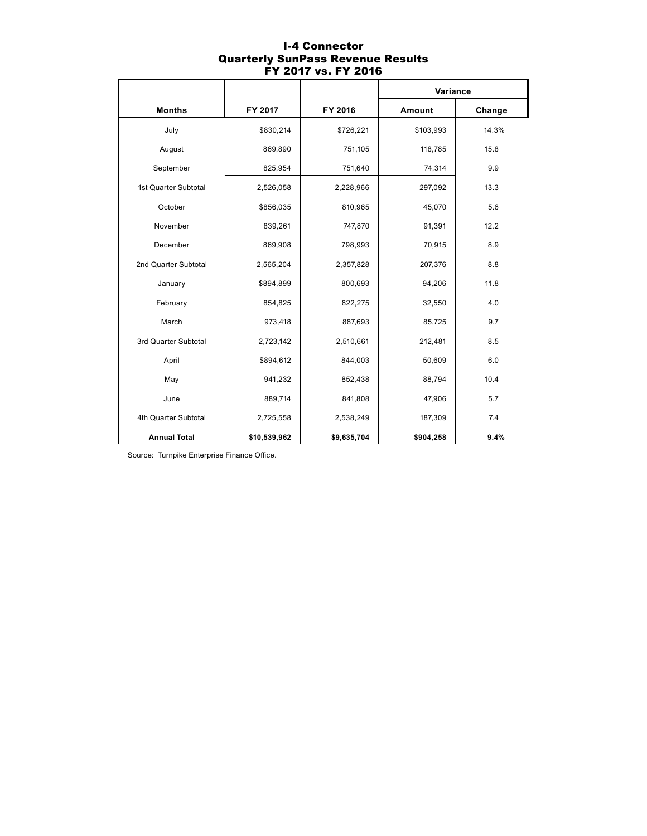### I-4 Connector Quarterly SunPass Revenue Results FY 2017 vs. FY 2016

|                      |              |             | Variance  |        |  |
|----------------------|--------------|-------------|-----------|--------|--|
| <b>Months</b>        | FY 2017      | FY 2016     | Amount    | Change |  |
| July                 | \$830,214    | \$726,221   | \$103,993 | 14.3%  |  |
| August               | 869,890      | 751,105     | 118,785   | 15.8   |  |
| September            | 825,954      | 751,640     | 74,314    | 9.9    |  |
| 1st Quarter Subtotal | 2,526,058    | 2,228,966   | 297,092   | 13.3   |  |
| October              | \$856,035    | 810,965     | 45,070    | 5.6    |  |
| November             | 839,261      | 747,870     | 91,391    | 12.2   |  |
| December             | 869,908      | 798,993     | 70,915    | 8.9    |  |
| 2nd Quarter Subtotal | 2,565,204    | 2,357,828   | 207,376   | 8.8    |  |
| January              | \$894,899    | 800,693     | 94,206    | 11.8   |  |
| February             | 854,825      | 822,275     | 32,550    | 4.0    |  |
| March                | 973,418      | 887,693     | 85,725    | 9.7    |  |
| 3rd Quarter Subtotal | 2,723,142    | 2,510,661   | 212,481   | 8.5    |  |
| April                | \$894,612    | 844,003     | 50,609    | 6.0    |  |
| May                  | 941,232      | 852,438     | 88,794    | 10.4   |  |
| June                 | 889,714      | 841,808     | 47,906    | 5.7    |  |
| 4th Quarter Subtotal | 2,725,558    | 2,538,249   | 187,309   | 7.4    |  |
| <b>Annual Total</b>  | \$10,539,962 | \$9,635,704 | \$904,258 | 9.4%   |  |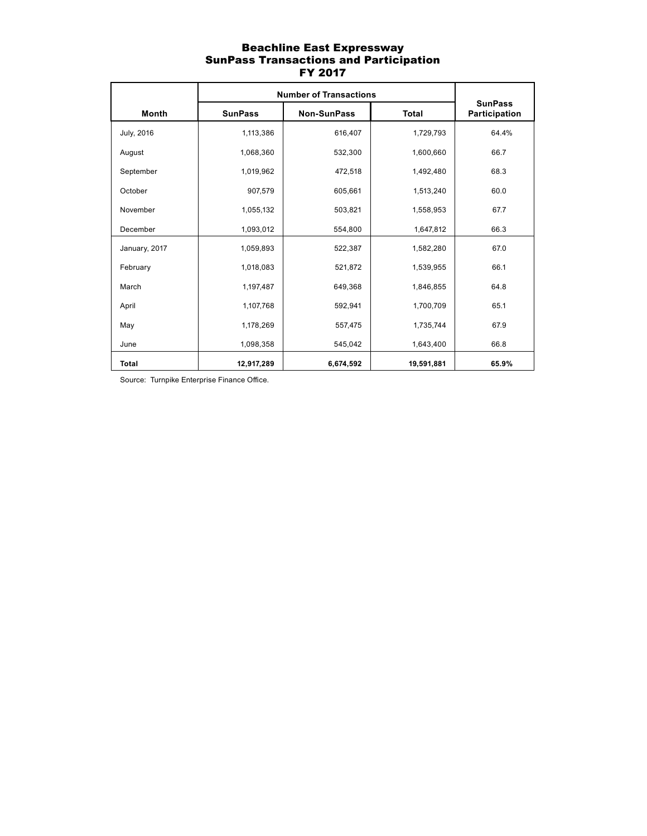### Beachline East Expressway SunPass Transactions and Participation FY 2017

|               | <b>Number of Transactions</b> | <b>SunPass</b>     |              |               |  |
|---------------|-------------------------------|--------------------|--------------|---------------|--|
| <b>Month</b>  | <b>SunPass</b>                | <b>Non-SunPass</b> | <b>Total</b> | Participation |  |
| July, 2016    | 1,113,386                     | 616,407            | 1,729,793    | 64.4%         |  |
| August        | 1,068,360                     | 532,300            | 1,600,660    | 66.7          |  |
| September     | 1,019,962                     | 472,518            | 1,492,480    | 68.3          |  |
| October       | 907,579                       | 605,661            | 1,513,240    | 60.0          |  |
| November      | 1,055,132                     | 503,821            | 1,558,953    | 67.7          |  |
| December      | 1,093,012                     | 554,800            | 1,647,812    | 66.3          |  |
| January, 2017 | 1,059,893                     | 522,387            | 1,582,280    | 67.0          |  |
| February      | 1,018,083                     | 521,872            | 1,539,955    | 66.1          |  |
| March         | 1,197,487                     | 649,368            | 1,846,855    | 64.8          |  |
| April         | 1,107,768                     | 592,941            | 1,700,709    | 65.1          |  |
| May           | 1,178,269                     | 557,475            | 1,735,744    | 67.9          |  |
| June          | 1,098,358                     | 545,042            | 1,643,400    | 66.8          |  |
| <b>Total</b>  | 12,917,289                    | 6,674,592          | 19,591,881   | 65.9%         |  |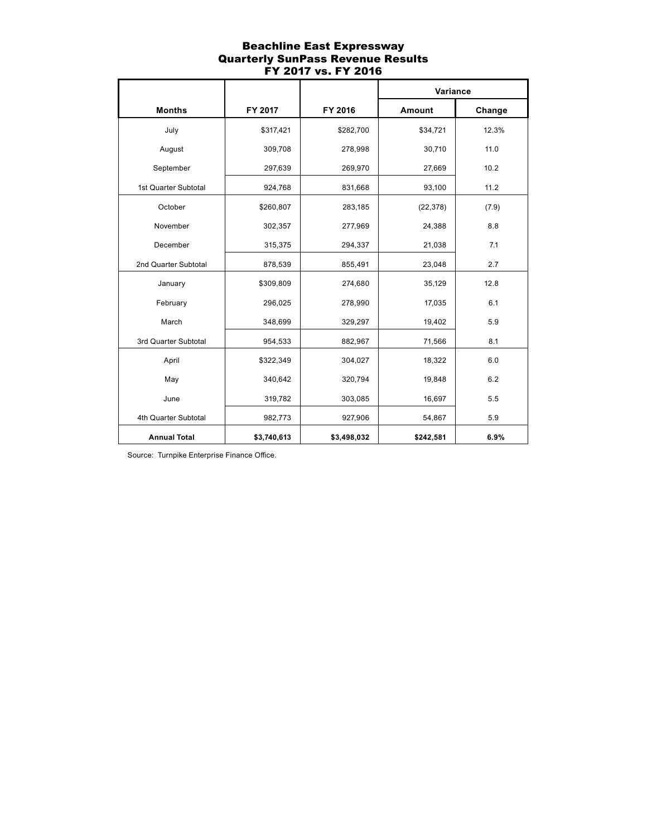### Beachline East Expressway Quarterly SunPass Revenue Results FY 2017 vs. FY 2016

|                      |             |             | Variance  |        |  |
|----------------------|-------------|-------------|-----------|--------|--|
| <b>Months</b>        | FY 2017     | FY 2016     | Amount    | Change |  |
| July                 | \$317,421   | \$282,700   | \$34,721  | 12.3%  |  |
| August               | 309,708     | 278,998     | 30,710    | 11.0   |  |
| September            | 297,639     | 269,970     | 27,669    | 10.2   |  |
| 1st Quarter Subtotal | 924,768     | 831,668     | 93,100    | 11.2   |  |
| October              | \$260,807   | 283,185     | (22, 378) | (7.9)  |  |
| November             | 302,357     | 277,969     | 24,388    | 8.8    |  |
| December             | 315,375     | 294,337     | 21,038    | 7.1    |  |
| 2nd Quarter Subtotal | 878,539     | 855,491     | 23,048    | 2.7    |  |
| January              | \$309,809   | 274,680     | 35,129    | 12.8   |  |
| February             | 296,025     | 278,990     | 17,035    | 6.1    |  |
| March                | 348,699     | 329,297     | 19,402    | 5.9    |  |
| 3rd Quarter Subtotal | 954,533     | 882,967     | 71,566    | 8.1    |  |
| April                | \$322,349   | 304,027     | 18,322    | 6.0    |  |
| May                  | 340,642     | 320,794     | 19,848    | 6.2    |  |
| June                 | 319,782     | 303,085     | 16,697    | 5.5    |  |
| 4th Quarter Subtotal | 982,773     | 927,906     | 54,867    | 5.9    |  |
| <b>Annual Total</b>  | \$3,740,613 | \$3,498,032 | \$242,581 | 6.9%   |  |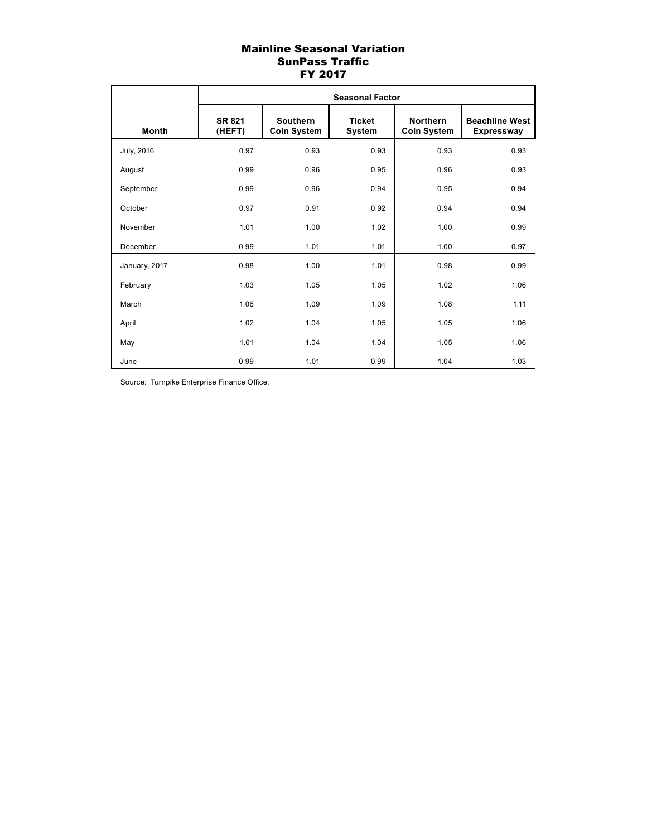## Mainline Seasonal Variation SunPass Traffic FY 2017

|               | <b>Seasonal Factor</b>  |                                       |                                |                                       |                                            |  |  |  |
|---------------|-------------------------|---------------------------------------|--------------------------------|---------------------------------------|--------------------------------------------|--|--|--|
| <b>Month</b>  | <b>SR 821</b><br>(HEFT) | <b>Southern</b><br><b>Coin System</b> | <b>Ticket</b><br><b>System</b> | <b>Northern</b><br><b>Coin System</b> | <b>Beachline West</b><br><b>Expressway</b> |  |  |  |
| July, 2016    | 0.97                    | 0.93                                  | 0.93                           | 0.93                                  | 0.93                                       |  |  |  |
| August        | 0.99                    | 0.96                                  | 0.95                           | 0.96                                  | 0.93                                       |  |  |  |
| September     | 0.99                    | 0.96                                  | 0.94                           | 0.95                                  | 0.94                                       |  |  |  |
| October       | 0.97                    | 0.91                                  | 0.92                           | 0.94                                  | 0.94                                       |  |  |  |
| November      | 1.01                    | 1.00                                  | 1.02                           | 1.00                                  | 0.99                                       |  |  |  |
| December      | 0.99                    | 1.01                                  | 1.01                           | 1.00                                  | 0.97                                       |  |  |  |
| January, 2017 | 0.98                    | 1.00                                  | 1.01                           | 0.98                                  | 0.99                                       |  |  |  |
| February      | 1.03                    | 1.05                                  | 1.05                           | 1.02                                  | 1.06                                       |  |  |  |
| March         | 1.06                    | 1.09                                  | 1.09                           | 1.08                                  | 1.11                                       |  |  |  |
| April         | 1.02                    | 1.04                                  | 1.05                           | 1.05                                  | 1.06                                       |  |  |  |
| May           | 1.01                    | 1.04                                  | 1.04                           | 1.05                                  | 1.06                                       |  |  |  |
| June          | 0.99                    | 1.01                                  | 0.99                           | 1.04                                  | 1.03                                       |  |  |  |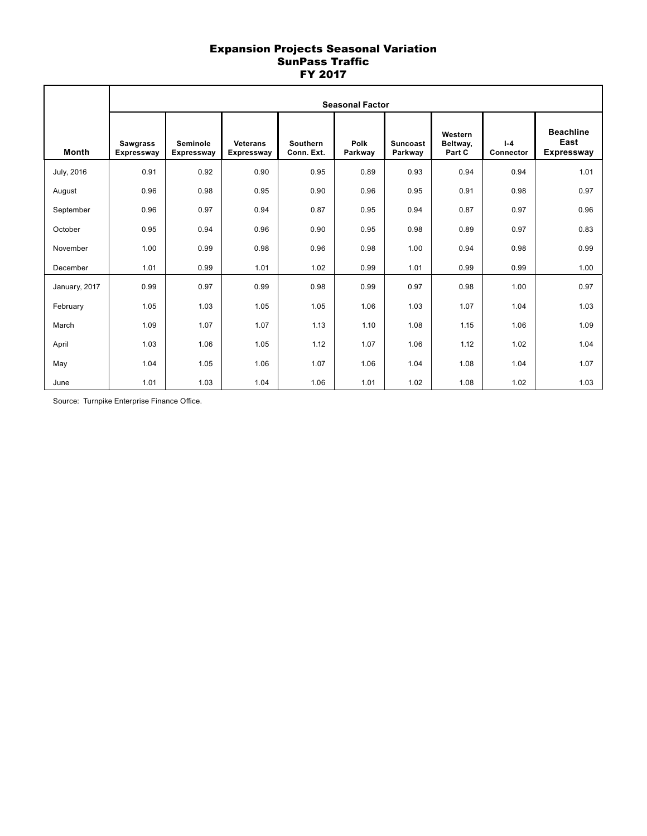### Expansion Projects Seasonal Variation SunPass Traffic FY 2017

|                   | <b>Seasonal Factor</b>               |                               |                               |                               |                 |                            |                               |                      |                                               |
|-------------------|--------------------------------------|-------------------------------|-------------------------------|-------------------------------|-----------------|----------------------------|-------------------------------|----------------------|-----------------------------------------------|
| <b>Month</b>      | <b>Sawgrass</b><br><b>Expressway</b> | Seminole<br><b>Expressway</b> | <b>Veterans</b><br>Expressway | <b>Southern</b><br>Conn. Ext. | Polk<br>Parkway | <b>Suncoast</b><br>Parkway | Western<br>Beltway,<br>Part C | $I - 4$<br>Connector | <b>Beachline</b><br>East<br><b>Expressway</b> |
| <b>July, 2016</b> | 0.91                                 | 0.92                          | 0.90                          | 0.95                          | 0.89            | 0.93                       | 0.94                          | 0.94                 | 1.01                                          |
| August            | 0.96                                 | 0.98                          | 0.95                          | 0.90                          | 0.96            | 0.95                       | 0.91                          | 0.98                 | 0.97                                          |
| September         | 0.96                                 | 0.97                          | 0.94                          | 0.87                          | 0.95            | 0.94                       | 0.87                          | 0.97                 | 0.96                                          |
| October           | 0.95                                 | 0.94                          | 0.96                          | 0.90                          | 0.95            | 0.98                       | 0.89                          | 0.97                 | 0.83                                          |
| November          | 1.00                                 | 0.99                          | 0.98                          | 0.96                          | 0.98            | 1.00                       | 0.94                          | 0.98                 | 0.99                                          |
| December          | 1.01                                 | 0.99                          | 1.01                          | 1.02                          | 0.99            | 1.01                       | 0.99                          | 0.99                 | 1.00                                          |
| January, 2017     | 0.99                                 | 0.97                          | 0.99                          | 0.98                          | 0.99            | 0.97                       | 0.98                          | 1.00                 | 0.97                                          |
| February          | 1.05                                 | 1.03                          | 1.05                          | 1.05                          | 1.06            | 1.03                       | 1.07                          | 1.04                 | 1.03                                          |
| March             | 1.09                                 | 1.07                          | 1.07                          | 1.13                          | 1.10            | 1.08                       | 1.15                          | 1.06                 | 1.09                                          |
| April             | 1.03                                 | 1.06                          | 1.05                          | 1.12                          | 1.07            | 1.06                       | 1.12                          | 1.02                 | 1.04                                          |
| May               | 1.04                                 | 1.05                          | 1.06                          | 1.07                          | 1.06            | 1.04                       | 1.08                          | 1.04                 | 1.07                                          |
| June              | 1.01                                 | 1.03                          | 1.04                          | 1.06                          | 1.01            | 1.02                       | 1.08                          | 1.02                 | 1.03                                          |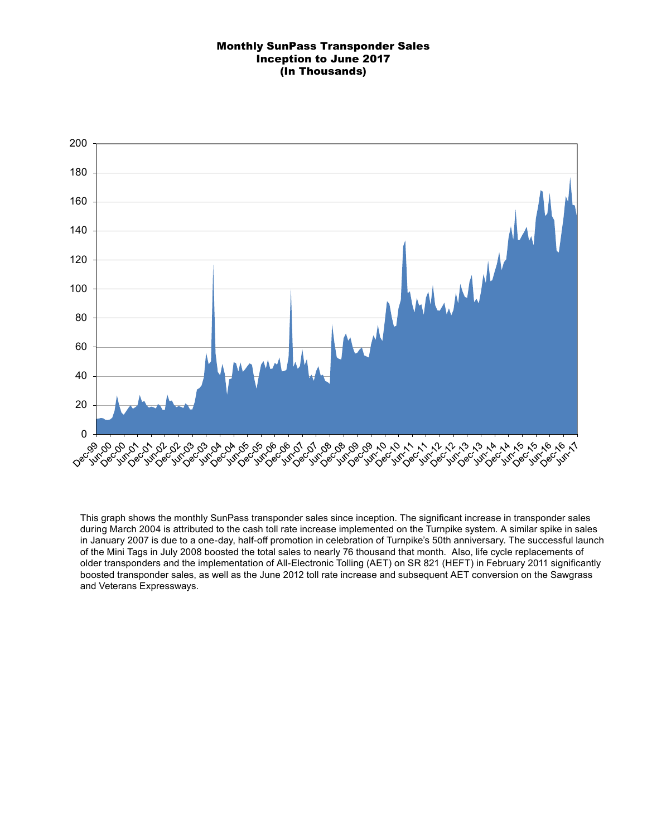## Monthly SunPass Transponder Sales Inception to June 2017 (In Thousands)



This graph shows the monthly SunPass transponder sales since inception. The significant increase in transponder sales during March 2004 is attributed to the cash toll rate increase implemented on the Turnpike system. A similar spike in sales in January 2007 is due to a one-day, half-off promotion in celebration of Turnpike's 50th anniversary. The successful launch of the Mini Tags in July 2008 boosted the total sales to nearly 76 thousand that month. Also, life cycle replacements of older transponders and the implementation of All-Electronic Tolling (AET) on SR 821 (HEFT) in February 2011 significantly boosted transponder sales, as well as the June 2012 toll rate increase and subsequent AET conversion on the Sawgrass and Veterans Expressways.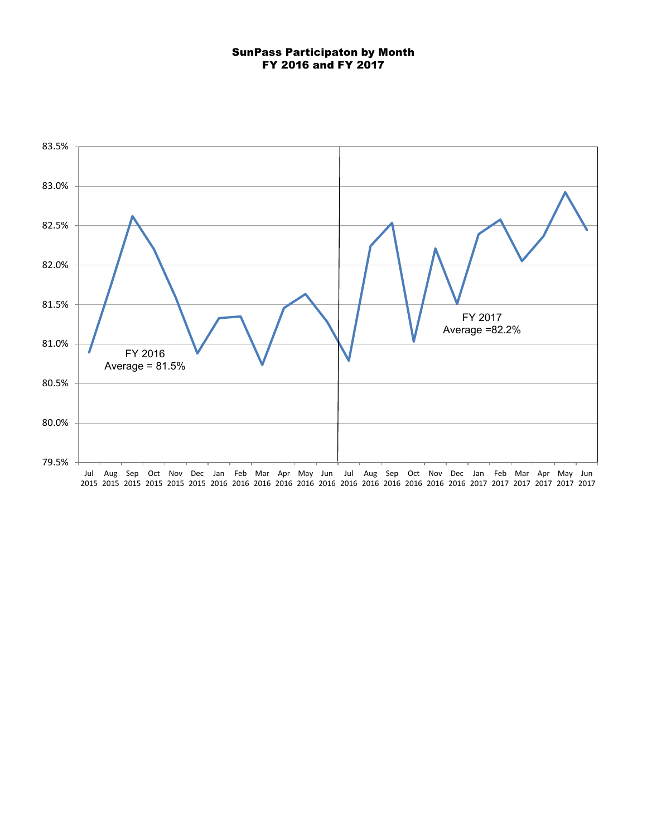### SunPass Participaton by Month FY 2016 and FY 2017

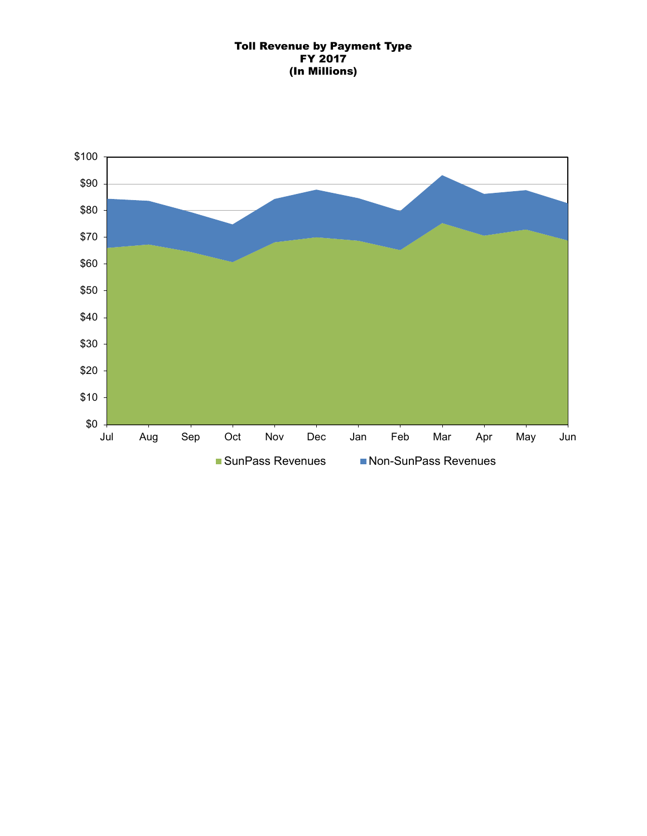## Toll Revenue by Payment Type FY 2017 (In Millions)

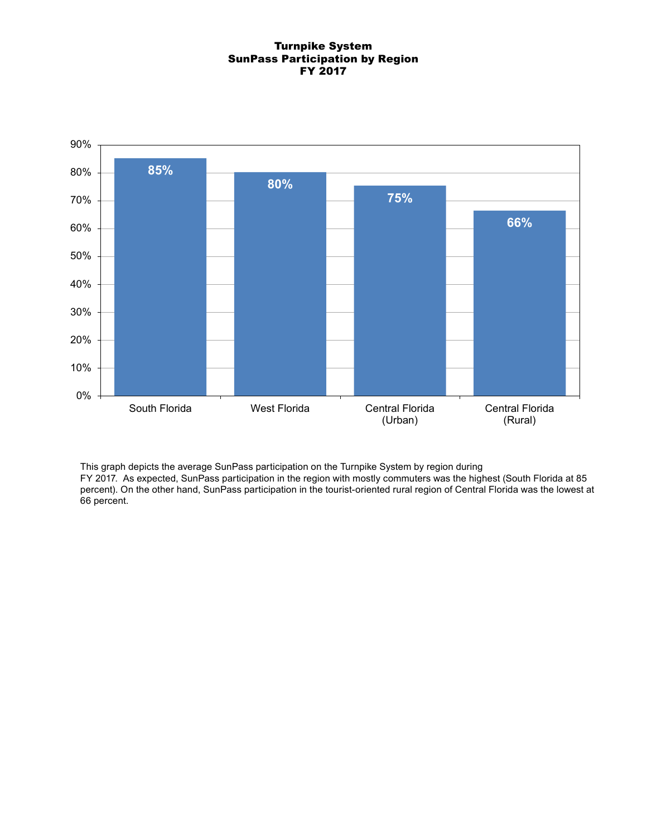### Turnpike System SunPass Participation by Region FY 2017



This graph depicts the average SunPass participation on the Turnpike System by region during FY 2017. As expected, SunPass participation in the region with mostly commuters was the highest (South Florida at 85 percent). On the other hand, SunPass participation in the tourist-oriented rural region of Central Florida was the lowest at 66 percent.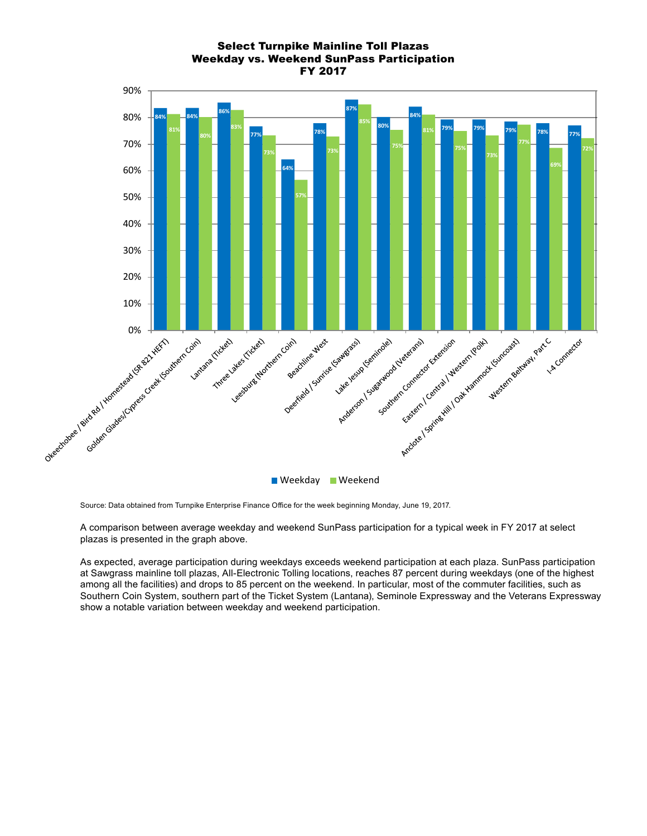# Select Turnpike Mainline Toll Plazas Weekday vs. Weekend SunPass Participation FY 2017



Source: Data obtained from Turnpike Enterprise Finance Office for the week beginning Monday, June 19, 2017.

A comparison between average weekday and weekend SunPass participation for a typical week in FY 2017 at select plazas is presented in the graph above.

As expected, average participation during weekdays exceeds weekend participation at each plaza. SunPass participation at Sawgrass mainline toll plazas, All-Electronic Tolling locations, reaches 87 percent during weekdays (one of the highest among all the facilities) and drops to 85 percent on the weekend. In particular, most of the commuter facilities, such as Southern Coin System, southern part of the Ticket System (Lantana), Seminole Expressway and the Veterans Expressway show a notable variation between weekday and weekend participation.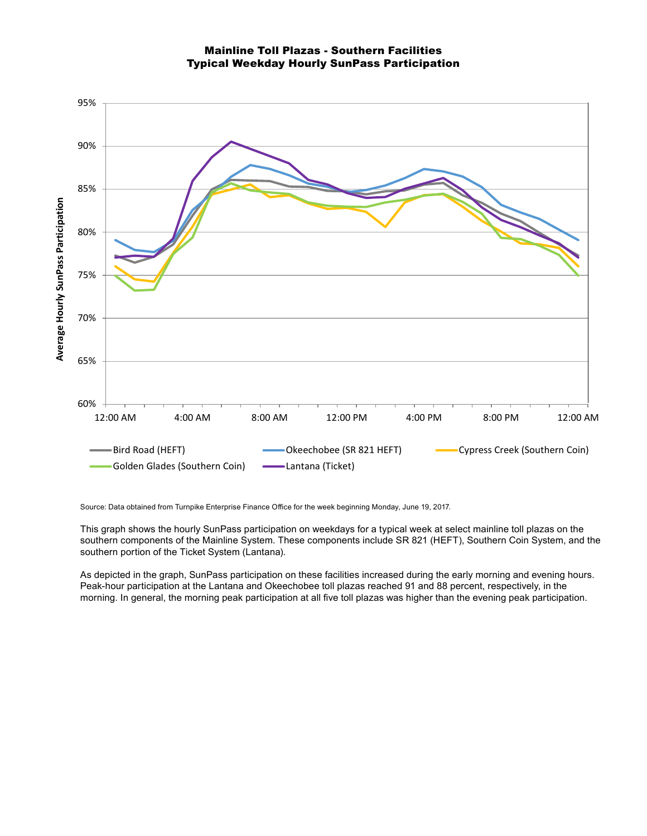



Source: Data obtained from Turnpike Enterprise Finance Office for the week beginning Monday, June 19, 2017.

This graph shows the hourly SunPass participation on weekdays for a typical week at select mainline toll plazas on the southern components of the Mainline System. These components include SR 821 (HEFT), Southern Coin System, and the southern portion of the Ticket System (Lantana).

As depicted in the graph, SunPass participation on these facilities increased during the early morning and evening hours. Peak-hour participation at the Lantana and Okeechobee toll plazas reached 91 and 88 percent, respectively, in the morning. In general, the morning peak participation at all five toll plazas was higher than the evening peak participation.